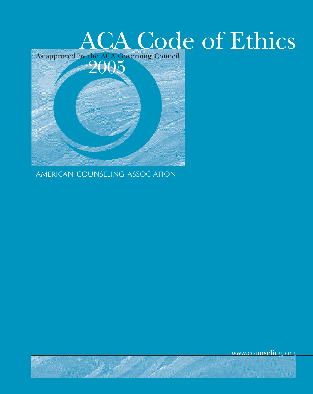# ACA Code of Ethics



AMERICAN COUNSELING ASSOCIATION

www.counseling.org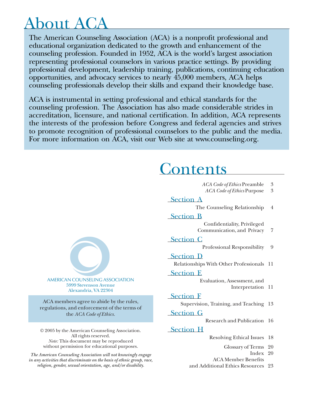# About ACA

The American Counseling Association (ACA) is a nonprofit professional and educational organization dedicated to the growth and enhancement of the counseling profession. Founded in 1952, ACA is the world's largest association representing professional counselors in various practice settings. By providing professional development, leadership training, publications, continuing education opportunities, and advocacy services to nearly 45,000 members, ACA helps counseling professionals develop their skills and expand their knowledge base.

ACA is instrumental in setting professional and ethical standards for the counseling profession. The Association has also made considerable strides in accreditation, licensure, and national certification. In addition, ACA represents the interests of the profession before Congress and federal agencies and strives to promote recognition of professional counselors to the public and the media. For more information on ACA, visit our Web site at www.counseling.org.

## **Contents**

|  | <i>ACA Code of Ethics</i> Preamble | 3 |
|--|------------------------------------|---|
|--|------------------------------------|---|

|  |  | ACA Code of Ethics Purpose | 3 |
|--|--|----------------------------|---|
|--|--|----------------------------|---|

## Section A

The Counseling Relationship 4

## Section B

Confidentiality, Privileged Communication, and Privacy 7

#### Section C

Professional Responsibility 9

## Section D Relationships With Other Professionals 11

Section E

Evaluation, Assessment, and Interpretation 11

## Section F

Supervision, Training, and Teaching 13

#### Section G

Research and Publication 16

## Section H

- Resolving Ethical Issues 18
	- Glossary of Terms 20
		- Index 20

ACA Member Benefits

and Additional Ethics Resources 23



ACA members agree to abide by the rules, regulations, and enforcement of the terms of the *ACA Code of Ethics.*

© 2005 by the American Counseling Association. All rights reserved. *Note:* This document may be reproduced without permission for educational purposes.

*The American Counseling Association will not knowingly engage in any activities that discriminate on the basis of ethnic group, race, religion, gender, sexual orientation, age, and/or disability.*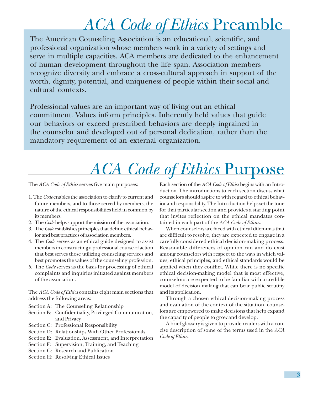# *ACA Code of Ethics* Preamble

The American Counseling Association is an educational, scientific, and professional organization whose members work in a variety of settings and serve in multiple capacities. ACA members are dedicated to the enhancement of human development throughout the life span. Association members recognize diversity and embrace a cross-cultural approach in support of the worth, dignity, potential, and uniqueness of people within their social and cultural contexts.

Professional values are an important way of living out an ethical commitment. Values inform principles. Inherently held values that guide our behaviors or exceed prescribed behaviors are deeply ingrained in the counselor and developed out of personal dedication, rather than the mandatory requirement of an external organization.

# *ACA Code of Ethics* Purpose

The *ACA Code of Ethics* serves five main purposes:

- 1. The *Code* enables the association to clarify to current and future members, and to those served by members, the nature of the ethical responsibilities held in common by its members.
- 2. The *Code* helps support the mission of the association.
- 3. The *Code* establishes principles that define ethical behavior and best practices of association members.
- 4. The *Code* serves as an ethical guide designed to assist members in constructing a professional course of action that best serves those utilizing counseling services and best promotes the values of the counseling profession.
- 5. The *Code* serves as the basis for processing of ethical complaints and inquiries initiated against members of the association.

The *ACA Code of Ethics* contains eight main sections that address the following areas:

- Section A: The Counseling Relationship
- Section B: Confidentiality, Privileged Communication, and Privacy
- Section C: Professional Responsibility
- Section D: Relationships With Other Professionals
- Section E: Evaluation, Assessment, and Interpretation
- Section F: Supervision, Training, and Teaching
- Section G: Research and Publication
- Section H: Resolving Ethical Issues

Each section of the *ACA Code of Ethics* begins with an Introduction. The introductions to each section discuss what counselors should aspire to with regard to ethical behavior and responsibility. The Introduction helps set the tone for that particular section and provides a starting point that invites reflection on the ethical mandates contained in each part of the *ACA Code of Ethics.*

When counselors are faced with ethical dilemmas that are difficult to resolve, they are expected to engage in a carefully considered ethical decision-making process. Reasonable differences of opinion can and do exist among counselors with respect to the ways in which values, ethical principles, and ethical standards would be applied when they conflict. While there is no specific ethical decision-making model that is most effective, counselors are expected to be familiar with a credible model of decision making that can bear public scrutiny and its application.

Through a chosen ethical decision-making process and evaluation of the context of the situation, counselors are empowered to make decisions that help expand the capacity of people to grow and develop.

A brief glossary is given to provide readers with a concise description of some of the terms used in the *ACA Code of Ethics*.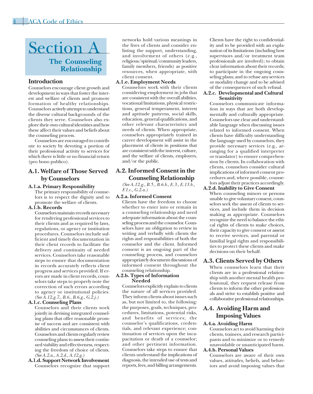## Section **The Counseling Relationship**

#### **Introduction**

Counselors encourage client growth and development in ways that foster the interest and welfare of clients and promote formation of healthy relationships. Counselors actively attempt to understand the diverse cultural backgrounds of the clients they serve. Counselors also explore their own cultural identities and how these affect their values and beliefs about the counseling process.

Counselors are encouraged to contribute to society by devoting a portion of their professional activity to services for which there is little or no financial return (pro bono publico).

## **A.1. Welfare of Those Served by Counselors**

#### **A.1.a. Primary Responsibility**

The primary responsibility of counselors is to respect the dignity and to promote the welfare of clients.

#### **A.1.b. Records**

Counselors maintain records necessary for rendering professional services to their clients and as required by laws, regulations, or agency or institution procedures. Counselors include sufficient and timely documentation in their client records to facilitate the delivery and continuity of needed services. Counselors take reasonable steps to ensure that documentation in records accurately reflects client progress and services provided. If errors are made in client records, counselors take steps to properly note the correction of such errors according to agency or institutional policies. *(See A.12.g.7., B.6., B.6.g., G.2.j.)*

#### **A.1.c. Counseling Plans**

Counselors and their clients work jointly in devising integrated counseling plans that offer reasonable promise of success and are consistent with abilities and circumstances of clients. Counselors and clients regularly review counseling plans to assess their continued viability and effectiveness, respecting the freedom of choice of clients. *(See A.2.a., A.2.d., A.12.g.)*

#### **A.1.d. Support Network Involvement** Counselors recognize that support

networks hold various meanings in the lives of clients and consider enlisting the support, understanding, and involvement of others (e.g., religious/spiritual/community leaders, family members, friends) as positive resources, when appropriate, with client consent.

#### **A.1.e. Employment Needs**

Counselors work with their clients considering employment in jobs that are consistent with the overall abilities, vocational limitations, physical restrictions, general temperament, interest and aptitude patterns, social skills, education, general qualifications, and other relevant characteristics and needs of clients. When appropriate, counselors appropriately trained in career development will assist in the placement of clients in positions that are consistent with the interest, culture, and the welfare of clients, employers, and/or the public.

## **A.2. Informed Consent in the Counseling Relationship**

*(See A.12.g., B.5., B.6.b., E.3., E.13.b., F.1.c., G.2.a.)*

#### **A.2.a. Informed Consent**

Clients have the freedom to choose whether to enter into or remain in a counseling relationship and need adequate information about the counseling process and the counselor. Counselors have an obligation to review in writing and verbally with clients the rights and responsibilities of both the counselor and the client. Informed consent is an ongoing part of the counseling process, and counselors appropriately document discussions of informed consent throughout the counseling relationship.

#### **A.2.b. Types of Information Needed**

Counselors explicitly explain to clients the nature of all services provided. They inform clients about issues such as, but not limited to, the following: the purposes, goals, techniques, procedures, limitations, potential risks, and benefits of services; the counselor's qualifications, credentials, and relevant experience; continuation of services upon the incapacitation or death of a counselor; and other pertinent information. Counselors take steps to ensure that clients understand the implications of diagnosis, the intended use of tests and reports, fees, and billing arrangements.

Clients have the right to confidentiality and to be provided with an explanation of its limitations (including how supervisors and/or treatment team professionals are involved); to obtain clear information about their records; to participate in the ongoing counseling plans; and to refuse any services or modality change and to be advised of the consequences of such refusal.

#### **A.2.c. Developmental and Cultural Sensitivity**

Counselors communicate information in ways that are both developmentally and culturally appropriate. Counselors use clear and understandable language when discussing issues related to informed consent. When clients have difficulty understanding the language used by counselors, they provide necessary services (e.g., arranging for a qualified interpreter or translator) to ensure comprehension by clients. In collaboration with clients, counselors consider cultural implications of informed consent procedures and, where possible, counselors adjust their practices accordingly.

#### **A.2.d. Inability to Give Consent**

When counseling minors or persons unable to give voluntary consent, counselors seek the assent of clients to services, and include them in decision making as appropriate. Counselors recognize the need to balance the ethical rights of clients to make choices, their capacity to give consent or assent to receive services, and parental or familial legal rights and responsibilities to protect these clients and make decisions on their behalf.

## **A.3. Clients Served by Others**

When counselors learn that their clients are in a professional relationship with another mental health professional, they request release from clients to inform the other professionals and strive to establish positive and collaborative professional relationships.

## **A.4. Avoiding Harm and Imposing Values**

#### **A.4.a. Avoiding Harm**

Counselors act to avoid harming their clients, trainees, and research participants and to minimize or to remedy unavoidable or unanticipated harm.

#### **A.4.b. Personal Values**

Counselors are aware of their own values, attitudes, beliefs, and behaviors and avoid imposing values that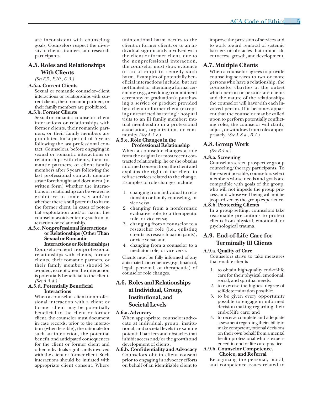are inconsistent with counseling goals. Counselors respect the diversity of clients, trainees, and research participants.

#### **A.5. Roles and Relationships With Clients**

*(See F.3., F.10., G.3.)*

#### **A.5.a. Current Clients**

Sexual or romantic counselor–client interactions or relationships with current clients, their romantic partners, or their family members are prohibited.

#### **A.5.b. Former Clients**

Sexual or romantic counselor–client interactions or relationships with former clients, their romantic partners, or their family members are prohibited for a period of 5 years following the last professional contact. Counselors, before engaging in sexual or romantic interactions or relationships with clients, their romantic partners, or client family members after 5 years following the last professional contact, demonstrate forethought and document (in written form) whether the interactions or relationship can be viewed as exploitive in some way and/or whether there is still potential to harm the former client; in cases of potential exploitation and/or harm, the counselor avoids entering such an interaction or relationship.

**A.5.c. Nonprofessional Interactions or Relationships (Other Than Sexual or Romantic**

**Interactions or Relationships)** Counselor–client nonprofessional relationships with clients, former clients, their romantic partners, or their family members should be avoided, except when the interaction is potentially beneficial to the client. *(See A.5.d.)*

#### **A.5.d. Potentially Beneficial Interactions**

When a counselor–client nonprofessional interaction with a client or former client may be potentially beneficial to the client or former client, the counselor must document in case records, prior to the interaction (when feasible), the rationale for such an interaction, the potential benefit, and anticipated consequences for the client or former client and other individuals significantly involved with the client or former client. Such interactions should be initiated with appropriate client consent. Where

unintentional harm occurs to the client or former client, or to an individual significantly involved with the client or former client, due to the nonprofessional interaction, the counselor must show evidence of an attempt to remedy such harm. Examples of potentially beneficial interactions include, but are not limited to, attending a formal ceremony (e.g., a wedding/commitment ceremony or graduation); purchasing a service or product provided by a client or former client (excepting unrestricted bartering); hospital visits to an ill family member; mutual membership in a professional association, organization, or community. *(See A.5.c.)*

## **A.5.e. Role Changes in the**

**Professional Relationship** When a counselor changes a role from the original or most recent contracted relationship, he or she obtains informed consent from the client and explains the right of the client to refuse services related to the change. Examples of role changes include

- 1. changing from individual to relationship or family counseling, or vice versa;
- 2. changing from a nonforensic evaluative role to a therapeutic role, or vice versa;
- 3. changing from a counselor to a researcher role (i.e., enlisting clients as research participants), or vice versa; and
- 4. changing from a counselor to a mediator role, or vice versa.

Clients must be fully informed of any anticipated consequences (e.g., financial, legal, personal, or therapeutic) of counselor role changes.

## **A.6. Roles and Relationships at Individual, Group, Institutional, and Societal Levels**

#### **A.6.a. Advocacy**

When appropriate, counselors advocate at individual, group, institutional, and societal levels to examine potential barriers and obstacles that inhibit access and/or the growth and development of clients.

**A.6.b. Confidentiality and Advocacy** Counselors obtain client consent prior to engaging in advocacy efforts on behalf of an identifiable client to

improve the provision of services and to work toward removal of systemic barriers or obstacles that inhibit client access, growth, and development.

#### **A.7. Multiple Clients**

When a counselor agrees to provide counseling services to two or more persons who have a relationship, the counselor clarifies at the outset which person or persons are clients and the nature of the relationships the counselor will have with each involved person. If it becomes apparent that the counselor may be called upon to perform potentially conflicting roles, the counselor will clarify, adjust, or withdraw from roles appropriately. *(See A.8.a., B.4.)*

#### **A.8. Group Work**

*(See B.4.a.)*

#### **A.8.a. Screening**

Counselors screen prospective group counseling/therapy participants. To the extent possible, counselors select members whose needs and goals are compatible with goals of the group, who will not impede the group process, and whose well-being will not be jeopardized by the group experience.

#### **A.8.b. Protecting Clients**

In a group setting, counselors take reasonable precautions to protect clients from physical, emotional, or psychological trauma.

## **A.9. End-of-Life Care for Terminally Ill Clients**

#### **A.9.a. Quality of Care**

Counselors strive to take measures that enable clients

- 1. to obtain high-quality end-of-life care for their physical, emotional, social, and spiritual needs;
- 2. to exercise the highest degree of self-determination possible;
- 3. to be given every opportunity possible to engage in informed decision making regarding their end-of-life care; and
- 4. to receive complete and adequate assessment regarding their ability to make competent, rational decisions on their own behalf from a mental health professional who is experienced in end-of-life care practice.

#### **A.9.b. Counselor Competence, Choice, and Referral**

Recognizing the personal, moral, and competence issues related to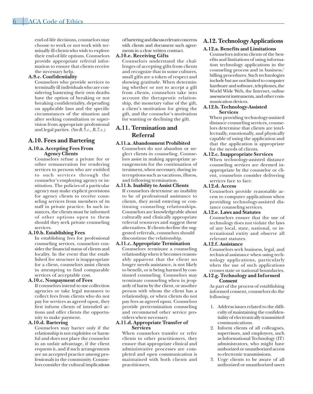end-of-life decisions, counselors may choose to work or not work with terminally ill clients who wish to explore their end-of-life options. Counselors provide appropriate referral information to ensure that clients receive the necessary help.

#### **A.9.c. Confidentiality**

Counselors who provide services to terminally ill individuals who are considering hastening their own deaths have the option of breaking or not breaking confidentiality, depending on applicable laws and the specific circumstances of the situation and after seeking consultation or supervision from appropriate professional and legal parties. *(See B.5.c., B.7.c.)*

#### **A.10. Fees and Bartering**

#### **A.10.a. Accepting Fees From Agency Clients**

Counselors refuse a private fee or other remuneration for rendering services to persons who are entitled to such services through the counselor's employing agency or institution. The policies of a particular agency may make explicit provisions for agency clients to receive counseling services from members of its staff in private practice. In such instances, the clients must be informed of other options open to them should they seek private counseling services.

#### **A.10.b. Establishing Fees**

In establishing fees for professional counseling services, counselors consider the financial status of clients and locality. In the event that the established fee structure is inappropriate for a client, counselors assist clients in attempting to find comparable services of acceptable cost.

#### **A.10.c. Nonpayment of Fees**

If counselors intend to use collection agencies or take legal measures to collect fees from clients who do not pay for services as agreed upon, they first inform clients of intended actions and offer clients the opportunity to make payment.

#### **A.10.d. Bartering**

Counselors may barter only if the relationship is not exploitive or harmful and does not place the counselor in an unfair advantage, if the client requests it, and if such arrangements are an accepted practice among professionals in the community. Counselors consider the cultural implications of bartering and discuss relevant concerns with clients and document such agreements in a clear written contract.

#### **A.10.e. Receiving Gifts**

Counselors understand the challenges of accepting gifts from clients and recognize that in some cultures, small gifts are a token of respect and showing gratitude. When determining whether or not to accept a gift from clients, counselors take into account the therapeutic relationship, the monetary value of the gift, a client's motivation for giving the gift, and the counselor's motivation for wanting or declining the gift.

## **A.11. Termination and Referral**

#### **A.11.a. Abandonment Prohibited**

Counselors do not abandon or neglect clients in counseling. Counselors assist in making appropriate arrangements for the continuation of treatment, when necessary, during interruptions such as vacations, illness, and following termination.

- **A.11.b. Inability to Assist Clients** If counselors determine an inability to be of professional assistance to clients, they avoid entering or continuing counseling relationships. Counselors are knowledgeable about culturally and clinically appropriate referral resources and suggest these alternatives. If clients decline the suggested referrals, counselors should discontinue the relationship.
- **A.11.c. Appropriate Termination** Counselors terminate a counseling relationship when it becomes reasonably apparent that the client no longer needs assistance, is not likely to benefit, or is being harmed by continued counseling. Counselors may terminate counseling when in jeopardy of harm by the client, or another person with whom the client has a relationship, or when clients do not pay fees as agreed upon. Counselors provide pretermination counseling and recommend other service providers when necessary.

#### **A.11.d. Appropriate Transfer of Services**

When counselors transfer or refer clients to other practitioners, they ensure that appropriate clinical and administrative processes are completed and open communication is maintained with both clients and practitioners.

## **A.12. Technology Applications**

#### **A.12.a. Benefits and Limitations**

Counselors inform clients of the benefits and limitations of using information technology applications in the counseling process and in business/ billing procedures. Such technologies include but are not limited to computer hardware and software, telephones, the World Wide Web, the Internet, online assessment instruments, and other communication devices.

#### **A.12.b. Technology-Assisted Services**

When providing technology-assisted distance counseling services, counselors determine that clients are intellectually, emotionally, and physically capable of using the application and that the application is appropriate for the needs of clients.

#### **A.12.c. Inappropriate Services**

When technology-assisted distance counseling services are deemed inappropriate by the counselor or client, counselors consider delivering services face to face.

#### **A.12.d. Access**

Counselors provide reasonable access to computer applications when providing technology-assisted distance counseling services.

#### **A.12.e. Laws and Statutes**

Counselors ensure that the use of technology does not violate the laws of any local, state, national, or international entity and observe all relevant statutes.

#### **A.12.f. Assistance**

Counselors seek business, legal, and technical assistance when using technology applications, particularly when the use of such applications crosses state or national boundaries.

#### **A.12.g. Technology and Informed Consent**

As part of the process of establishing informed consent, counselors do the following:

- 1. Address issues related to the difficulty of maintaining the confidentiality of electronically transmitted communications.
- 2. Inform clients of all colleagues, supervisors, and employees, such as Informational Technology (IT) administrators, who might have authorized or unauthorized access to electronic transmissions.
- Urge clients to be aware of all authorized or unauthorized users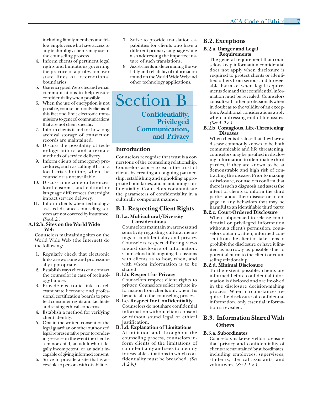including family members and fellow employees who have access to any technology clients may use in the counseling process.

- 4. Inform clients of pertinent legal rights and limitations governing the practice of a profession over state lines or international boundaries.
- 5. Use encrypted Web sites and e-mail communications to help ensure confidentiality when possible.
- 6. When the use of encryption is not possible, counselors notify clients of this fact and limit electronic transmissions to general communications that are not client specific.
- 7. Inform clients if and for how long archival storage of transaction records are maintained.
- 8. Discuss the possibility of technology failure and alternate methods of service delivery.
- 9. Inform clients of emergency procedures, such as calling 911 or a local crisis hotline, when the counselor is not available.
- 10. Discuss time zone differences, local customs, and cultural or language differences that might impact service delivery.
- 11. Inform clients when technologyassisted distance counseling services are not covered by insurance. *(See A.2.)*

#### **A.12.h. Sites on the World Wide Web**

Counselors maintaining sites on the World Wide Web (the Internet) do the following:

- 1. Regularly check that electronic links are working and professionally appropriate.
- 2. Establish ways clients can contact the counselor in case of technology failure.
- 3. Provide electronic links to relevant state licensure and professional certification boards to protect consumer rights and facilitate addressing ethical concerns.
- 4. Establish a method for verifying client identity.
- 5. Obtain the written consent of the legal guardian or other authorized legal representative prior to rendering services in the event the client is a minor child, an adult who is legally incompetent, or an adult incapable of giving informed consent.
- 6. Strive to provide a site that is accessible to persons with disabilities.
- 7. Strive to provide translation capabilities for clients who have a different primary language while also addressing the imperfect nature of such translations.
- 8. Assist clients in determining the validity and reliability of information found on the World Wide Web and other technology applications.

## Section **Confidentiality, Privileged Communication, and Privacy**

### **Introduction**

Counselors recognize that trust is a cornerstone of the counseling relationship. Counselors aspire to earn the trust of clients by creating an ongoing partnership, establishing and upholding appropriate boundaries, and maintaining confidentiality. Counselors communicate the parameters of confidentiality in a culturally competent manner.

## **B.1. Respecting Client Rights**

#### **B.1.a. Multicultural/Diversity Considerations**

Counselors maintain awareness and sensitivity regarding cultural meanings of confidentiality and privacy. Counselors respect differing views toward disclosure of information. Counselors hold ongoing discussions with clients as to how, when, and with whom information is to be shared.

#### **B.1.b. Respect for Privacy**

Counselors respect client rights to privacy. Counselors solicit private information from clients only when it is beneficial to the counseling process.

- **B.1.c. Respect for Confidentiality** Counselors do not share confidential information without client consent or without sound legal or ethical justification.
- **B.1.d. Explanation of Limitations** At initiation and throughout the counseling process, counselors inform clients of the limitations of confidentiality and seek to identify foreseeable situations in which confidentiality must be breached*. (See A.2.b.)*

## **B.2. Exceptions**

#### **B.2.a. Danger and Legal Requirements**

The general requirement that counselors keep information confidential does not apply when disclosure is required to protect clients or identified others from serious and foreseeable harm or when legal requirements demand that confidential information must be revealed. Counselors consult with other professionals when in doubt as to the validity of an exception. Additional considerations apply when addressing end-of-life issues. *(See A.9.c.)*

#### **B.2.b. Contagious, Life-Threatening Diseases**

When clients disclose that they have a disease commonly known to be both communicable and life threatening, counselors may be justified in disclosing information to identifiable third parties, if they are known to be at demonstrable and high risk of contracting the disease. Prior to making a disclosure, counselors confirm that there is such a diagnosis and assess the intent of clients to inform the third parties about their disease or to engage in any behaviors that may be harmful to an identifiable third party.

**B.2.c. Court-Ordered Disclosure** When subpoenaed to release confidential or privileged information without a client's permission, counselors obtain written, informed consent from the client or take steps to prohibit the disclosure or have it limited as narrowly as possible due to potential harm to the client or counseling relationship.

#### **B.2.d. Minimal Disclosure**

To the extent possible, clients are informed before confidential information is disclosed and are involved in the disclosure decision-making process. When circumstances require the disclosure of confidential information, only essential information is revealed.

## **B.3. Information Shared With Others**

#### **B.3.a. Subordinates**

Counselors make every effort to ensure that privacy and confidentiality of clients are maintained by subordinates, including employees, supervisees, students, clerical assistants, and volunteers. *(See F.1.c.)*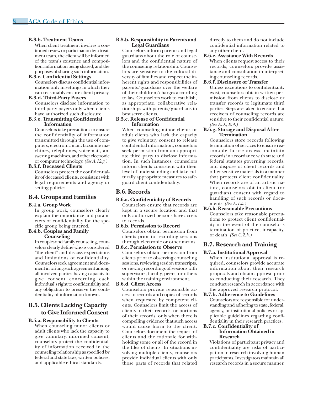#### **B.3.b. Treatment Teams**

When client treatment involves a continued review or participation by a treatment team, the client will be informed of the team's existence and composition, information being shared, and the purposes of sharing such information.

#### **B.3.c. Confidential Settings**

Counselors discuss confidential information only in settings in which they can reasonably ensure client privacy.

#### **B.3.d. Third-Party Payers**

Counselors disclose information to third-party payers only when clients have authorized such disclosure.

#### **B.3.e. Transmitting Confidential Information**

Counselors take precautions to ensure the confidentiality of information transmitted through the use of computers, electronic mail, facsimile machines, telephones, voicemail, answering machines, and other electronic or computer technology. *(See A.12.g.)*

#### **B.3.f. Deceased Clients**

Counselors protect the confidentiality of deceased clients, consistent with legal requirements and agency or setting policies.

#### **B.4. Groups and Families**

#### **B.4.a. Group Work**

In group work, counselors clearly explain the importance and parameters of confidentiality for the specific group being entered.

#### **B.4.b. Couples and Family Counseling**

In couples and family counseling, counselors clearly define who is considered "the client" and discuss expectations and limitations of confidentiality. Counselors seek agreement and document in writing such agreement among all involved parties having capacity to give consent concerning each individual's right to confidentiality and any obligation to preserve the confidentiality of information known.

## **B.5. Clients Lacking Capacity to Give Informed Consent**

#### **B.5.a. Responsibility to Clients**

When counseling minor clients or adult clients who lack the capacity to give voluntary, informed consent, counselors protect the confidentiality of information received in the counseling relationship as specified by federal and state laws, written policies, and applicable ethical standards.

#### **B.5.b. Responsibility to Parents and Legal Guardians**

Counselors inform parents and legal guardians about the role of counselors and the confidential nature of the counseling relationship. Counselors are sensitive to the cultural diversity of families and respect the inherent rights and responsibilities of parents/guardians over the welfare of their children/charges according to law. Counselors work to establish, as appropriate, collaborative relationships with parents/guardians to best serve clients.

#### **B.5.c. Release of Confidential Information**

When counseling minor clients or adult clients who lack the capacity to give voluntary consent to release confidential information, counselors seek permission from an appropriate third party to disclose information. In such instances, counselors inform clients consistent with their level of understanding and take culturally appropriate measures to safeguard client confidentiality.

## **B.6. Records**

#### **B.6.a. Confidentiality of Records**

Counselors ensure that records are kept in a secure location and that only authorized persons have access to records.

#### **B.6.b. Permission to Record** Counselors obtain permission from clients prior to recording sessions through electronic or other means.

**B.6.c. Permission to Observe** Counselors obtain permission from clients prior to observing counseling sessions, reviewing session transcripts, or viewing recordings of sessions with supervisors, faculty, peers, or others within the training environment.

#### **B.6.d. Client Access**

Counselors provide reasonable access to records and copies of records when requested by competent clients. Counselors limit the access of clients to their records, or portions of their records, only when there is compelling evidence that such access would cause harm to the client. Counselors document the request of clients and the rationale for withholding some or all of the record in the files of clients. In situations involving multiple clients, counselors provide individual clients with only those parts of records that related

directly to them and do not include confidential information related to any other client.

#### **B.6.e. Assistance With Records**

When clients request access to their records, counselors provide assistance and consultation in interpreting counseling records.

#### **B.6.f. Disclosure or Transfer**

Unless exceptions to confidentiality exist, counselors obtain written permission from clients to disclose or transfer records to legitimate third parties. Steps are taken to ensure that receivers of counseling records are sensitive to their confidential nature. *(See A.3., E.4.)*

#### **B.6.g. Storage and Disposal After Termination**

Counselors store records following termination of services to ensure reasonable future access, maintain records in accordance with state and federal statutes governing records, and dispose of client records and other sensitive materials in a manner that protects client confidentiality. When records are of an artistic nature, counselors obtain client (or guardian) consent with regard to handling of such records or documents. *(See A.1.b.)*

#### **B.6.h. Reasonable Precautions**

Counselors take reasonable precautions to protect client confidentiality in the event of the counselor's termination of practice, incapacity, or death*. (See C.2.h.)*

## **B.7. Research and Training**

#### **B.7.a. Institutional Approval**

When institutional approval is required, counselors provide accurate information about their research proposals and obtain approval prior to conducting their research. They conduct research in accordance with the approved research protocol.

## **B.7.b. Adherence to Guidelines**

Counselors are responsible for understanding and adhering to state, federal, agency, or institutional policies or applicable guidelines regarding confidentiality in their research practices.

#### **B.7.c. Confidentiality of Information Obtained in Research**

Violations of participant privacy and confidentiality are risks of participation in research involving human participants. Investigators maintain all research records in a secure manner.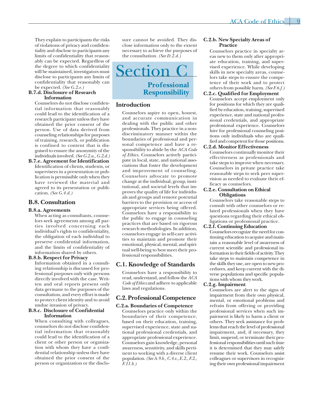ACA Code of Ethics

They explain to participants the risks of violations of privacy and confidentiality and disclose to participants any limits of confidentiality that reasonably can be expected. Regardless of the degree to which confidentiality will be maintained, investigators must disclose to participants any limits of confidentiality that reasonably can be expected. *(See G.2.e.)*

#### **B.7.d. Disclosure of Research Information**

Counselors do not disclose confidential information that reasonably could lead to the identification of a research participant unless they have obtained the prior consent of the person. Use of data derived from counseling relationships for purposes of training, research, or publication is confined to content that is disguised to ensure the anonymity of the individuals involved. *(See G.2.a., G.2.d.)*

**B.7.e. Agreement for Identification** Identification of clients, students, or supervisees in a presentation or publication is permissible only when they have reviewed the material and agreed to its presentation or publication. *(See G.4.d.)*

#### **B.8. Consultation**

#### **B.8.a. Agreements**

When acting as consultants, counselors seek agreements among all parties involved concerning each individual's rights to confidentiality, the obligation of each individual to preserve confidential information, and the limits of confidentiality of information shared by others.

#### **B.8.b. Respect for Privacy**

Information obtained in a consulting relationship is discussed for professional purposes only with persons directly involved with the case. Written and oral reports present only data germane to the purposes of the consultation, and every effort is made to protect client identity and to avoid undue invasion of privacy.

#### **B.8.c. Disclosure of Confidential Information**

When consulting with colleagues, counselors do not disclose confidential information that reasonably could lead to the identification of a client or other person or organization with whom they have a confidential relationship unless they have obtained the prior consent of the person or organization or the disclosure cannot be avoided. They disclose information only to the extent necessary to achieve the purposes of the consultation*. (See D.2.d.)*



#### **Introduction**

Counselors aspire to open, honest, and accurate communication in dealing with the public and other professionals. They practice in a nondiscriminatory manner within the boundaries of professional and personal competence and have a responsibility to abide by the *ACA Code of Ethics.* Counselors actively participate in local, state, and national associations that foster the development and improvement of counseling. Counselors advocate to promote change at the individual, group, institutional, and societal levels that improves the quality of life for individuals and groups and remove potential barriers to the provision or access of appropriate services being offered. Counselors have a responsibility to the public to engage in counseling practices that are based on rigorous research methodologies. In addition, counselors engage in self-care activities to maintain and promote their emotional, physical, mental, and spiritual well-being to best meet their professional responsibilities.

#### **C.1. Knowledge of Standards**

Counselors have a responsibility to read, understand, and follow the *ACA Code of Ethics* and adhere to applicable laws and regulations.

#### **C.2. Professional Competence**

**C.2.a. Boundaries of Competence** Counselors practice only within the boundaries of their competence, based on their education, training, supervised experience, state and national professional credentials, and appropriate professional experience. Counselors gain knowledge, personal awareness, sensitivity, and skills pertinent to working with a diverse client population. *(See A.9.b., C.4.e., E.2., F.2., F.11.b.)*

#### **C.2.b. New Specialty Areas of Practice**

Counselors practice in specialty areas new to them only after appropriate education, training, and supervised experience. While developing skills in new specialty areas, counselors take steps to ensure the competence of their work and to protect others from possible harm. *(See F.6.f.)*

**C.2.c. Qualified for Employment** Counselors accept employment only for positions for which they are qualified by education, training, supervised experience, state and national professional credentials, and appropriate professional experience. Counselors hire for professional counseling positions only individuals who are qualified and competent for those positions.

#### **C.2.d. Monitor Effectiveness**

Counselors continually monitor their effectiveness as professionals and take steps to improve when necessary. Counselors in private practice take reasonable steps to seek peer supervision as needed to evaluate their efficacy as counselors.

#### **C.2.e. Consultation on Ethical Obligations**

Counselors take reasonable steps to consult with other counselors or related professionals when they have questions regarding their ethical obligations or professional practice.

#### **C.2.f. Continuing Education**

Counselors recognize the need for continuing education to acquire and maintain a reasonable level of awareness of current scientific and professional information in their fields of activity. They take steps to maintain competence in the skills they use, are open to new procedures, and keep current with the diverse populations and specific populations with whom they work.

#### **C.2.g. Impairment**

Counselors are alert to the signs of impairment from their own physical, mental, or emotional problems and refrain from offering or providing professional services when such impairment is likely to harm a client or others. They seek assistance for problems that reach the level of professional impairment, and, if necessary, they limit, suspend, or terminate their professional responsibilities until such time it is determined that they may safely resume their work. Counselors assist colleagues or supervisors in recognizing their own professional impairment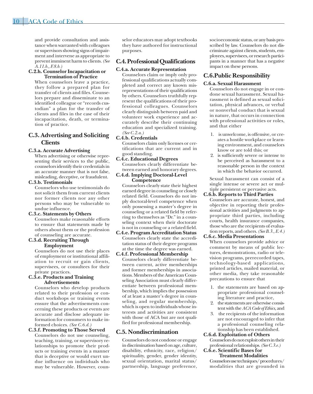and provide consultation and assistance when warranted with colleagues or supervisors showing signs of impairment and intervene as appropriate to prevent imminent harm to clients. *(See A.11.b., F.8.b.)*

#### **C.2.h. Counselor Incapacitation or Termination of Practice**

When counselors leave a practice, they follow a prepared plan for transfer of clients and files. Counselors prepare and disseminate to an identified colleague or "records custodian" a plan for the transfer of clients and files in the case of their incapacitation, death, or termination of practice.

## **C.3. Advertising and Soliciting Clients**

#### **C.3.a. Accurate Advertising**

When advertising or otherwise representing their services to the public, counselors identify their credentials in an accurate manner that is not false, misleading, deceptive, or fraudulent.

#### **C.3.b. Testimonials**

Counselors who use testimonials do not solicit them from current clients nor former clients nor any other persons who may be vulnerable to undue influence.

#### **C.3.c. Statements by Others**

Counselors make reasonable efforts to ensure that statements made by others about them or the profession of counseling are accurate.

#### **C.3.d. Recruiting Through Employment**

Counselors do not use their places of employment or institutional affiliation to recruit or gain clients, supervisees, or consultees for their private practices.

#### **C.3.e. Products and Training Advertisements**

Counselors who develop products related to their profession or conduct workshops or training events ensure that the advertisements concerning these products or events are accurate and disclose adequate information for consumers to make informed choices. *(See C.6.d.)*

#### **C.3.f. Promoting to Those Served**

Counselors do not use counseling, teaching, training, or supervisory relationships to promote their products or training events in a manner that is deceptive or would exert undue influence on individuals who may be vulnerable. However, counselor educators may adopt textbooks they have authored for instructional purposes.

### **C.4. Professional Qualifications**

#### **C.4.a. Accurate Representation**

Counselors claim or imply only professional qualifications actually completed and correct any known misrepresentations of their qualifications by others. Counselors truthfully represent the qualifications of their professional colleagues. Counselors clearly distinguish between paid and volunteer work experience and accurately describe their continuing education and specialized training. *(See C.2.a.)*

#### **C.4.b. Credentials**

Counselors claim only licenses or certifications that are current and in good standing.

#### **C.4.c. Educational Degrees**

Counselors clearly differentiate between earned and honorary degrees. **C.4.d. Implying Doctoral-Level**

## **Competence**

Counselors clearly state their highest earned degree in counseling or closely related field. Counselors do not imply doctoral-level competence when only possessing a master's degree in counseling or a related field by referring to themselves as "Dr." in a counseling context when their doctorate is not in counseling or a related field.

- **C.4.e. Program Accreditation Status** Counselors clearly state the accreditation status of their degree programs at the time the degree was earned.
- **C.4.f. Professional Membership** Counselors clearly differentiate between current, active memberships and former memberships in associations. Members of the American Counseling Association must clearly differentiate between professional membership, which implies the possession of at least a master's degree in counseling, and regular membership, which is open to individuals whose interests and activities are consistent with those of ACA but are not qualified for professional membership.

#### **C.5. Nondiscrimination**

Counselors do not condone or engage in discrimination based on age, culture, disability, ethnicity, race, religion/ spirituality, gender, gender identity, sexual orientation, marital status/ partnership, language preference, socioeconomic status, or any basis proscribed by law. Counselors do not discriminate against clients, students, employees, supervisees, or research participants in a manner that has a negative impact on these persons.

## **C.6.Public Responsibility**

#### **C.6.a. Sexual Harassment**

Counselors do not engage in or condone sexual harassment. Sexual harassment is defined as sexual solicitation, physical advances, or verbal or nonverbal conduct that is sexual in nature, that occurs in connection with professional activities or roles, and that either

- 1. is unwelcome, is offensive, or creates a hostile workplace or learning environment, and counselors know or are told this; or
- 2. is sufficiently severe or intense to be perceived as harassment to a reasonable person in the context in which the behavior occurred.

Sexual harassment can consist of a single intense or severe act or multiple persistent or pervasive acts.

## **C.6.b. Reports to Third Parties**

Counselors are accurate, honest, and objective in reporting their professional activities and judgments to appropriate third parties, including courts, health insurance companies, those who are the recipients of evaluation reports, and others. *(See B.3., E.4.)*

#### **C.6.c. Media Presentations**

When counselors provide advice or comment by means of public lectures, demonstrations, radio or television programs, prerecorded tapes, technology-based applications, printed articles, mailed material, or other media, they take reasonable precautions to ensure that

- 1. the statements are based on appropriate professional counseling literature and practice,
- 2. the statements are otherwise consistent with the *ACA Code of Ethics,* and
- 3. the recipients of the information are not encouraged to infer that a professional counseling relationship has been established.

#### **C.6.d. Exploitation of Others**

Counselors do not exploit others in their professional relationships. *(See C.3.e.)* **C.6.e. Scientific Bases for**

### **Treatment Modalities**

Counselors use techniques/ procedures/ modalities that are grounded in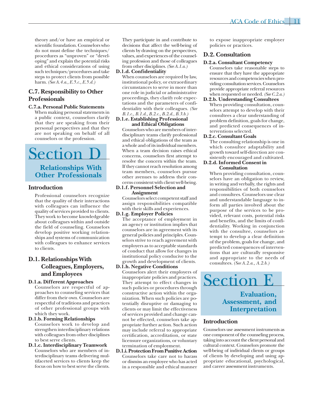theory and/or have an empirical or scientific foundation. Counselors who do not must define the techniques/ procedures as "unproven" or "developing" and explain the potential risks and ethical considerations of using such techniques/procedures and take steps to protect clients from possible harm. *(See A.4.a., E.5.c., E.5.d.)*

### **C.7. Responsibility to Other Professionals**

#### **C.7.a. Personal Public Statements**

When making personal statements in a public context, counselors clarify that they are speaking from their personal perspectives and that they are not speaking on behalf of all counselors or the profession.

## Section **Relationships With**

## **Other Professionals**

#### **Introduction**

Professional counselors recognize that the quality of their interactions with colleagues can influence the quality of services provided to clients. They work to become knowledgeable about colleagues within and outside the field of counseling. Counselors develop positive working relationships and systems of communication with colleagues to enhance services to clients.

## **D.1. Relationships With Colleagues, Employers, and Employees**

#### **D.1.a. Different Approaches**

Counselors are respectful of approaches to counseling services that differ from their own. Counselors are respectful of traditions and practices of other professional groups with which they work.

#### **D.1.b. Forming Relationships** Counselors work to develop and strengthen interdisciplinary relations

with colleagues from other disciplines to best serve clients.

**D.1.c. Interdisciplinary Teamwork** Counselors who are members of interdisciplinary teams delivering multifaceted services to clients keep the focus on how to best serve the clients.

They participate in and contribute to decisions that affect the well-being of clients by drawing on the perspectives, values, and experiences of the counseling profession and those of colleagues from other disciplines. *(See A.1.a.)*

#### **D.1.d. Confidentiality**

When counselors are required by law, institutional policy, or extraordinary circumstances to serve in more than one role in judicial or administrative proceedings, they clarify role expectations and the parameters of confidentiality with their colleagues. *(See B.1.c., B.1.d., B.2.c., B.2.d., B.3.b.)*

#### **D.1.e. Establishing Professional and Ethical Obligations**

Counselors who are members of interdisciplinary teams clarify professional and ethical obligations of the team as a whole and of its individual members. When a team decision raises ethical concerns, counselors first attempt to resolve the concern within the team. If they cannot reach resolution among team members, counselors pursue other avenues to address their concerns consistent with client well-being.

#### **D.1.f. Personnel Selection and Assignment**

Counselors select competent staff and assign responsibilities compatible with their skills and experiences.

#### **D.1.g. Employer Policies**

The acceptance of employment in an agency or institution implies that counselors are in agreement with its general policies and principles. Counselors strive to reach agreement with employers as to acceptable standards of conduct that allow for changes in institutional policy conducive to the growth and development of clients.

- **D.1.h. Negative Conditions** Counselors alert their employers of inappropriate policies and practices. They attempt to effect changes in such policies or procedures through constructive action within the organization. When such policies are potentially disruptive or damaging to clients or may limit the effectiveness of services provided and change cannot be effected, counselors take appropriate further action. Such action may include referral to appropriate certification, accreditation, or state licensure organizations, or voluntary termination of employment.
- **D.1.i. Protection From Punitive Action** Counselors take care not to harass or dismiss an employee who has acted in a responsible and ethical manner

to expose inappropriate employer policies or practices.

### **D.2. Consultation**

#### **D.2.a. Consultant Competency**

Counselors take reasonable steps to ensure that they have the appropriate resources and competencies when providing consultation services. Counselors provide appropriate referral resources when requested or needed. *(See C.2.a.)*

**D.2.b. Understanding Consultees** When providing consultation, counselors attempt to develop with their consultees a clear understanding of problem definition, goals for change, and predicted consequences of interventions selected.

#### **D.2.c. Consultant Goals**

The consulting relationship is one in which consultee adaptability and growth toward self-direction are consistently encouraged and cultivated.

#### **D.2.d. Informed Consent in Consultation**

When providing consultation, counselors have an obligation to review, in writing and verbally, the rights and responsibilities of both counselors and consultees. Counselors use clear and understandable language to inform all parties involved about the purpose of the services to be provided, relevant costs, potential risks and benefits, and the limits of confidentiality. Working in conjunction with the consultee, counselors attempt to develop a clear definition of the problem, goals for change, and predicted consequences of interventions that are culturally responsive and appropriate to the needs of consultees. *(See A.2.a., A.2.b.)*

Section

**Evaluation, Assessment, and Interpretation**

#### **Introduction**

Counselors use assessment instruments as one component of the counseling process, taking into account the client personal and cultural context. Counselors promote the well-being of individual clients or groups of clients by developing and using appropriate educational, psychological, and career assessment instruments.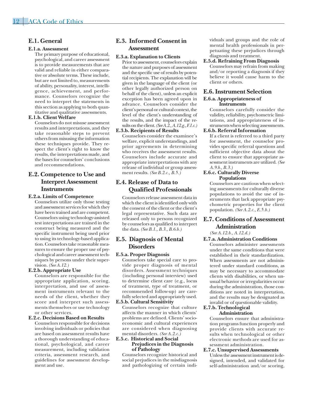#### **E.1. General**

#### **E.1.a. Assessment**

The primary purpose of educational, psychological, and career assessment is to provide measurements that are valid and reliable in either comparative or absolute terms. These include, but are not limited to, measurements of ability, personality, interest, intelligence, achievement, and performance. Counselors recognize the need to interpret the statements in this section as applying to both quantitative and qualitative assessments.

#### **E.1.b. Client Welfare**

Counselors do not misuse assessment results and interpretations, and they take reasonable steps to prevent others from misusing the information these techniques provide. They respect the client's right to know the results, the interpretations made, and the bases for counselors' conclusions and recommendations.

## **E.2. Competence to Use and Interpret Assessment Instruments**

#### **E.2.a. Limits of Competence**

Counselors utilize only those testing and assessment services for which they have been trained and are competent. Counselors using technology-assisted test interpretations are trained in the construct being measured and the specific instrument being used prior to using its technology-based application. Counselors take reasonable measures to ensure the proper use of psychological and career assessment techniques by persons under their supervision. *(See A.12.)*

#### **E.2.b. Appropriate Use**

Counselors are responsible for the appropriate application, scoring, interpretation, and use of assessment instruments relevant to the needs of the client, whether they score and interpret such assessments themselves or use technology or other services.

#### **E.2.c. Decisions Based on Results**

Counselors responsible for decisions involving individuals or policies that are based on assessment results have a thorough understanding of educational, psychological, and career measurement, including validation criteria, assessment research, and guidelines for assessment development and use.

## **E.3. Informed Consent in Assessment**

#### **E.3.a. Explanation to Clients**

Prior to assessment, counselors explain the nature and purposes of assessment and the specific use of results by potential recipients. The explanation will be given in the language of the client (or other legally authorized person on behalf of the client), unless an explicit exception has been agreed upon in advance. Counselors consider the client's personal or cultural context, the level of the client's understanding of the results, and the impact of the results on the client. *(See A.2., A.12.g., F.1.c.)*

#### **E.3.b. Recipients of Results** Counselors consider the examinee's welfare, explicit understandings, and prior agreements in determining who receives the assessment results. Counselors include accurate and appropriate interpretations with any release of individual or group assessment results. *(See B.2.c., B.5.)*

## **E.4. Release of Data to Qualified Professionals**

Counselors release assessment data in which the client is identified only with the consent of the client or the client's legal representative. Such data are released only to persons recognized by counselors as qualified to interpret the data. *(See B.1., B.3., B.6.b.)*

#### **E.5. Diagnosis of Mental Disorders**

#### **E.5.a. Proper Diagnosis**

Counselors take special care to provide proper diagnosis of mental disorders. Assessment techniques (including personal interview) used to determine client care (e.g., locus of treatment, type of treatment, or recommended follow-up) are carefully selected and appropriately used.

#### **E.5.b. Cultural Sensitivity** Counselors recognize that culture affects the manner in which clients' problems are defined. Clients' socioeconomic and cultural experiences are considered when diagnosing mental disorders. *(See A.2.c.)*

#### **E.5.c. Historical and Social Prejudices in the Diagnosis of Pathology**

Counselors recognize historical and social prejudices in the misdiagnosis and pathologizing of certain individuals and groups and the role of mental health professionals in perpetuating these prejudices through diagnosis and treatment.

#### **E.5.d. Refraining From Diagnosis** Counselors may refrain from making

and/or reporting a diagnosis if they believe it would cause harm to the client or others.

### **E.6. Instrument Selection**

#### **E.6.a. Appropriateness of Instruments**

Counselors carefully consider the validity, reliability, psychometric limitations, and appropriateness of instruments when selecting assessments.

#### **E.6.b. Referral Information**

If a client is referred to a third party for assessment, the counselor provides specific referral questions and sufficient objective data about the client to ensure that appropriate assessment instruments are utilized. *(See A.9.b., B.3.)*

#### **E.6.c. Culturally Diverse Populations**

Counselors are cautious when selecting assessments for culturally diverse populations to avoid the use of instruments that lack appropriate psychometric properties for the client population. *(See A.2.c., E.5.b.)*

## **E.7. Conditions of Assessment Administration**

*(See A.12.b., A.12.d.)*

#### **E.7.a. Administration Conditions**

Counselors administer assessments under the same conditions that were established in their standardization. When assessments are not administered under standard conditions, as may be necessary to accommodate clients with disabilities, or when unusual behavior or irregularities occur during the administration, those conditions are noted in interpretation, and the results may be designated as invalid or of questionable validity.

#### **E.7.b. Technological Administration**

Counselors ensure that administration programs function properly and provide clients with accurate results when technological or other electronic methods are used for assessment administration.

#### **E.7.c. Unsupervised Assessments** Unless the assessment instrument is designed, intended, and validated for

self-administration and/or scoring,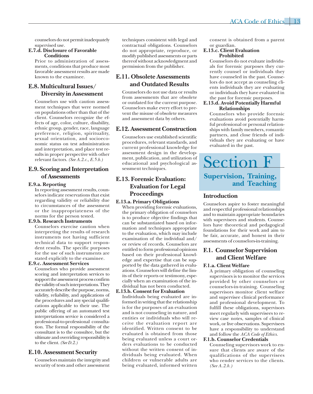counselors do not permit inadequately supervised use.

#### **E.7.d. Disclosure of Favorable Conditions**

Prior to administration of assessments, conditions that produce most favorable assessment results are made known to the examinee.

## **E.8. Multicultural Issues/ Diversity in Assessment**

Counselors use with caution assessment techniques that were normed on populations other than that of the client. Counselors recognize the effects of age, color, culture, disability, ethnic group, gender, race, language preference, religion, spirituality, sexual orientation, and socioeconomic status on test administration and interpretation, and place test results in proper perspective with other relevant factors. *(See A.2.c., E.5.b.)*

## **E.9. Scoring and Interpretation of Assessments**

#### **E.9.a. Reporting**

In reporting assessment results, counselors indicate reservations that exist regarding validity or reliability due to circumstances of the assessment or the inappropriateness of the norms for the person tested.

#### **E.9.b. Research Instruments**

Counselors exercise caution when interpreting the results of research instruments not having sufficient technical data to support respondent results. The specific purposes for the use of such instruments are stated explicitly to the examinee.

#### **E.9.c. Assessment Services**

Counselors who provide assessment scoring and interpretation services to support the assessment process confirm the validity of such interpretations. They accurately describe the purpose, norms, validity, reliability, and applications of the procedures and any special qualifications applicable to their use. The public offering of an automated test interpretations service is considered a professional-to-professional consultation. The formal responsibility of the consultant is to the consultee, but the ultimate and overriding responsibility is to the client. *(See D.2.)*

## **E.10. Assessment Security**

Counselors maintain the integrity and security of tests and other assessment

techniques consistent with legal and contractual obligations. Counselors do not appropriate, reproduce, or modify published assessments or parts thereof without acknowledgment and permission from the publisher.

## **E.11. Obsolete Assessments and Outdated Results**

Counselors do not use data or results from assessments that are obsolete or outdated for the current purpose. Counselors make every effort to prevent the misuse of obsolete measures and assessment data by others.

### **E.12. Assessment Construction**

Counselors use established scientific procedures, relevant standards, and current professional knowledge for assessment design in the development, publication, and utilization of educational and psychological assessment techniques.

## **E.13. Forensic Evaluation: Evaluation for Legal Proceedings**

#### **E.13.a. Primary Obligations**

When providing forensic evaluations, the primary obligation of counselors is to produce objective findings that can be substantiated based on information and techniques appropriate to the evaluation, which may include examination of the individual and/ or review of records. Counselors are entitled to form professional opinions based on their professional knowledge and expertise that can be supported by the data gathered in evaluations. Counselors will define the limits of their reports or testimony, especially when an examination of the individual has not been conducted.

**E.13.b. Consent for Evaluation** Individuals being evaluated are informed in writing that the relationship is for the purposes of an evaluation and is not counseling in nature, and entities or individuals who will receive the evaluation report are identified. Written consent to be evaluated is obtained from those being evaluated unless a court orders evaluations to be conducted without the written consent of individuals being evaluated. When children or vulnerable adults are being evaluated, informed written

consent is obtained from a parent or guardian.

#### **E.13.c. Client Evaluation Prohibited**

Counselors do not evaluate individuals for forensic purposes they currently counsel or individuals they have counseled in the past. Counselors do not accept as counseling clients individuals they are evaluating or individuals they have evaluated in the past for forensic purposes.

#### **E.13.d. Avoid Potentially Harmful Relationships**

Counselors who provide forensic evaluations avoid potentially harmful professional or personal relationships with family members, romantic partners, and close friends of individuals they are evaluating or have evaluated in the past.

section **Supervision, Training, and Teaching**

## **Introduction**

Counselors aspire to foster meaningful and respectful professional relationships and to maintain appropriate boundaries with supervisees and students. Counselors have theoretical and pedagogical foundations for their work and aim to be fair, accurate, and honest in their assessments of counselors-in-training.

## **F.1. Counselor Supervision and Client Welfare**

#### **F.1.a. Client Welfare**

A primary obligation of counseling supervisors is to monitor the services provided by other counselors or counselors-in-training. Counseling supervisors monitor client welfare and supervisee clinical performance and professional development. To fulfill these obligations, supervisors meet regularly with supervisees to review case notes, samples of clinical work, or live observations. Supervisees have a responsibility to understand and follow the *ACA Code of Ethics.*

#### **F.1.b. Counselor Credentials**

Counseling supervisors work to ensure that clients are aware of the qualifications of the supervisees who render services to the clients. *(See A.2.b.)*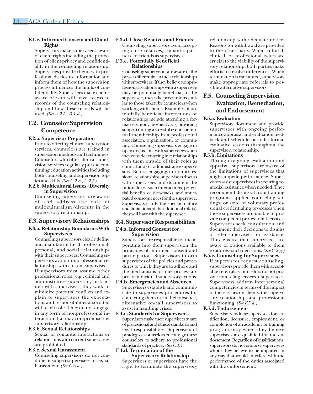#### **F.1.c. Informed Consent and Client Rights**

Supervisors make supervisees aware of client rights including the protection of client privacy and confidentiality in the counseling relationship. Supervisees provide clients with professional disclosure information and inform them of how the supervision process influences the limits of confidentiality. Supervisees make clients aware of who will have access to records of the counseling relationship and how these records will be used. *(See A.2.b., B.1.d.)*

## **F.2. Counselor Supervision Competence**

#### **F.2.a. Supervisor Preparation**

Prior to offering clinical supervision services, counselors are trained in supervision methods and techniques. Counselors who offer clinical supervision services regularly pursue continuing education activities including both counseling and supervision topics and skills. *(See C.2.a., C.2.f.)*

**F.2.b. Multicultural Issues/Diversity in Supervision**

Counseling supervisors are aware of and address the role of multiculturalism/diversity in the supervisory relationship.

## **F.3. Supervisory Relationships F.3.a. Relationship Boundaries With**

## **Supervisees**

Counseling supervisors clearly define and maintain ethical professional, personal, and social relationships with their supervisees. Counseling supervisors avoid nonprofessional relationships with current supervisees. If supervisors must assume other professional roles (e.g., clinical and administrative supervisor, instructor) with supervisees, they work to minimize potential conflicts and explain to supervisees the expectations and responsibilities associated with each role. They do not engage in any form of nonprofessional interaction that may compromise the supervisory relationship.

#### **F.3.b. Sexual Relationships**

Sexual or romantic interactions or relationships with current supervisees are prohibited.

#### **F.3.c. Sexual Harassment**

Counseling supervisors do not condone or subject supervisees to sexual harassment. *(See C.6.a.)*

#### **F.3.d. Close Relatives and Friends**

Counseling supervisors avoid accepting close relatives, romantic partners, or friends as supervisees.

#### **F.3.e. Potentially Beneficial Relationships**

Counseling supervisors are aware of the power differential in their relationships with supervisees. If they believe nonprofessional relationships with a supervisee may be potentially beneficial to the supervisee, they take precautions similar to those taken by counselors when working with clients. Examples of potentially beneficial interactions or relationships include attending a formal ceremony; hospital visits; providing support during a stressful event; or mutual membership in a professional association, organization, or community. Counseling supervisors engage in open discussions with supervisees when they consider entering into relationships with them outside of their roles as clinical and/or administrative supervisors. Before engaging in nonprofessional relationships, supervisors discuss with supervisees and document the rationale for such interactions, potential benefits or drawbacks, and anticipated consequences for the supervisee. Supervisors clarify the specific nature and limitations of the additional role(s) they will have with the supervisee.

#### **F.4. Supervisor Responsibilities**

#### **F.4.a. Informed Consent for Supervision**

Supervisors are responsible for incorporating into their supervision the principles of informed consent and participation. Supervisors inform supervisees of the policies and procedures to which they are to adhere and the mechanisms for due process appeal of individual supervisory actions.

**F.4.b. Emergencies and Absences** Supervisors establish and communicate to supervisees procedures for contacting them or, in their absence, alternative on-call supervisors to assist in handling crises.

**F.4.c. Standards for Supervisees** Supervisors make their supervisees aware of professional and ethical standards and legal responsibilities. Supervisors of postdegree counselors encourage these counselors to adhere to professional standards of practice*. (See C.1.)*

#### **F.4.d. Termination of the**

**Supervisory Relationship** Supervisors or supervisees have the right to terminate the supervisory relationship with adequate notice. Reasons for withdrawal are provided to the other party. When cultural, clinical, or professional issues are crucial to the viability of the supervisory relationship, both parties make efforts to resolve differences. When termination is warranted, supervisors make appropriate referrals to possible alternative supervisors.

## **F.5. Counseling Supervision Evaluation, Remediation, and Endorsement**

#### **F.5.a. Evaluation**

Supervisors document and provide supervisees with ongoing performance appraisal and evaluation feedback and schedule periodic formal evaluative sessions throughout the supervisory relationship.

#### **F.5.b. Limitations**

Through ongoing evaluation and appraisal, supervisors are aware of the limitations of supervisees that might impede performance. Supervisors assist supervisees in securing remedial assistance when needed. They recommend dismissal from training programs, applied counseling settings, or state or voluntary professional credentialing processes when those supervisees are unable to provide competent professional services. Supervisors seek consultation and document their decisions to dismiss or refer supervisees for assistance. They ensure that supervisees are aware of options available to them to address such decisions. *(See C.2.g.)*

#### **F.5.c. Counseling for Supervisees**

If supervisees request counseling, supervisors provide them with acceptable referrals. Counselors do not provide counseling services to supervisees. Supervisors address interpersonal competencies in terms of the impact of these issues on clients, the supervisory relationship, and professional functioning. *(See F.3.a.)*

#### **F.5.d. Endorsement**

Supervisors endorse supervisees for certification, licensure, employment, or completion of an academic or training program only when they believe supervisees are qualified for the endorsement. Regardless of qualifications, supervisors do not endorse supervisees whom they believe to be impaired in any way that would interfere with the performance of the duties associated with the endorsement.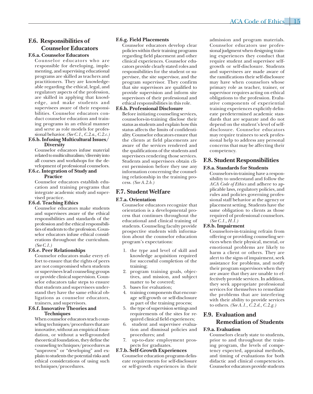## **F.6. Responsibilities of Counselor Educators**

#### **F.6.a. Counselor Educators**

Counselor educators who are responsible for developing, implementing, and supervising educational programs are skilled as teachers and practitioners. They are knowledgeable regarding the ethical, legal, and regulatory aspects of the profession, are skilled in applying that knowledge, and make students and supervisees aware of their responsibilities. Counselor educators conduct counselor education and training programs in an ethical manner and serve as role models for professional behavior. *(See C.1., C.2.a., C.2.c.)*

#### **F.6.b. Infusing Multicultural Issues/ Diversity**

Counselor educators infuse material related to multiculturalism/diversity into all courses and workshops for the development of professional counselors.

#### **F.6.c. Integration of Study and Practice**

Counselor educators establish education and training programs that integrate academic study and supervised practice.

#### **F.6.d. Teaching Ethics**

Counselor educators make students and supervisees aware of the ethical responsibilities and standards of the profession and the ethical responsibilities of students to the profession. Counselor educators infuse ethical considerations throughout the curriculum. *(See C.1.)*

#### **F.6.e. Peer Relationships**

Counselor educators make every effort to ensure that the rights of peers are not compromised when students or supervisees lead counseling groups or provide clinical supervision. Counselor educators take steps to ensure that students and supervisees understand they have the same ethical obligations as counselor educators, trainers, and supervisors.

#### **F.6.f. Innovative Theories and Techniques**

When counselor educators teach counseling techniques/procedures that are innovative, without an empirical foundation, or without a well-grounded theoretical foundation, they define the counseling techniques/procedures as "unproven" or "developing" and explain to students the potential risks and ethical considerations of using such techniques/procedures.

#### **F.6.g. Field Placements**

Counselor educators develop clear policies within their training programs regarding field placement and other clinical experiences. Counselor educators provide clearly stated roles and responsibilities for the student or supervisee, the site supervisor, and the program supervisor. They confirm that site supervisors are qualified to provide supervision and inform site supervisors of their professional and ethical responsibilities in this role.

#### **F.6.h. Professional Disclosure**

Before initiating counseling services, counselors-in-training disclose their status as students and explain how this status affects the limits of confidentiality. Counselor educators ensure that the clients at field placements are aware of the services rendered and the qualifications of the students and supervisees rendering those services. Students and supervisees obtain client permission before they use any information concerning the counseling relationship in the training process. *(See A.2.b.)*

## **F.7. Student Welfare**

#### **F.7.a. Orientation**

Counselor educators recognize that orientation is a developmental process that continues throughout the educational and clinical training of students. Counseling faculty provide prospective students with information about the counselor education program's expectations:

- 1. the type and level of skill and knowledge acquisition required for successful completion of the training;
- 2. program training goals, objectives, and mission, and subject matter to be covered;
- 3. bases for evaluation;
- 4. training components that encourage self-growth or self-disclosure as part of the training process;
- 5. the type of supervision settings and requirements of the sites for required clinical field experiences;
- 6. student and supervisee evaluation and dismissal policies and procedures; and
- 7. up-to-date employment prospects for graduates.

#### **F.7.b. Self-Growth Experiences**

Counselor education programs delineate requirements for self-disclosure or self-growth experiences in their

admission and program materials. Counselor educators use professional judgment when designing training experiences they conduct that require student and supervisee selfgrowth or self-disclosure. Students and supervisees are made aware of the ramifications their self-disclosure may have when counselors whose primary role as teacher, trainer, or supervisor requires acting on ethical obligations to the profession. Evaluative components of experiential training experiences explicitly delineate predetermined academic standards that are separate and do not depend on the student's level of selfdisclosure. Counselor educators may require trainees to seek professional help to address any personal concerns that may be affecting their competency.

## **F.8. Student Responsibilities**

#### **F.8.a. Standards for Students**

Counselors-in-training have a responsibility to understand and follow the *ACA Code of Ethics* and adhere to applicable laws, regulatory policies, and rules and policies governing professional staff behavior at the agency or placement setting. Students have the same obligation to clients as those required of professional counselors. *(See C.1., H.1.)*

#### **F.8.b. Impairment**

Counselors-in-training refrain from offering or providing counseling services when their physical, mental, or emotional problems are likely to harm a client or others. They are alert to the signs of impairment, seek assistance for problems, and notify their program supervisors when they are aware that they are unable to effectively provide services. In addition, they seek appropriate professional services for themselves to remediate the problems that are interfering with their ability to provide services to others. *(See A.1., C.2.d., C.2.g.)*

## **F.9. Evaluation and Remediation of Students**

#### **F.9.a. Evaluation**

Counselors clearly state to students, prior to and throughout the training program, the levels of competency expected, appraisal methods, and timing of evaluations for both didactic and clinical competencies. Counselor educators provide students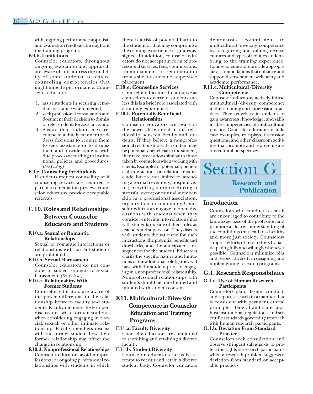with ongoing performance appraisal and evaluation feedback throughout the training program.

#### **F.9.b. Limitations**

Counselor educators, throughout ongoing evaluation and appraisal, are aware of and address the inability of some students to achieve counseling competencies that might impede performance. Counselor educators

- 1. assist students in securing remedial assistance when needed,
- 2. seek professional consultation and document their decision to dismiss or refer students for assistance, and
- 3. ensure that students have recourse in a timely manner to address decisions to require them to seek assistance or to dismiss them and provide students with due process according to institutional policies and procedures. *(See C.2.g.)*

#### **F.9.c. Counseling for Students**

If students request counseling or if counseling services are required as part of a remediation process, counselor educators provide acceptable referrals.

## **F. 10. Roles and Relationships Between Counselor Educators and Students**

#### **F.10.a. Sexual or Romantic Relationships**

Sexual or romantic interactions or relationships with current students are prohibited.

#### **F.10.b. Sexual Harassment**

Counselor educators do not condone or subject students to sexual harassment. *(See C.6.a.)*

#### **F.10.c. Relationships With Former Students**

Counselor educators are aware of the power differential in the relationship between faculty and students. Faculty members foster open discussions with former students when considering engaging in a social, sexual, or other intimate relationship. Faculty members discuss with the former student how their former relationship may affect the change in relationship.

## **F.10.d. Nonprofessional Relationships** Counselor educators avoid nonpro-

fessional or ongoing professional relationships with students in which there is a risk of potential harm to the student or that may compromise the training experience or grades assigned. In addition, counselor educators do not accept any form of professional services, fees, commissions, reimbursement, or remuneration from a site for student or supervisee placement.

#### **F.10.e. Counseling Services**

Counselor educators do not serve as counselors to current students unless this is a brief role associated with a training experience.

#### **F.10.f. Potentially Beneficial Relationships**

Counselor educators are aware of the power differential in the relationship between faculty and students. If they believe a nonprofessional relationship with a student may be potentially beneficial to the student, they take precautions similar to those taken by counselors when working with clients. Examples of potentially beneficial interactions or relationships include, but are not limited to, attending a formal ceremony; hospital visits; providing support during a stressful event; or mutual membership in a professional association, organization, or community. Counselor educators engage in open discussions with students when they consider entering into relationships with students outside of their roles as teachers and supervisors. They discuss with students the rationale for such interactions, the potential benefits and drawbacks, and the anticipated consequences for the student. Educators clarify the specific nature and limitations of the additional role(s) they will have with the student prior to engaging in a nonprofessional relationship. Nonprofessional relationships with students should be time-limited and initiated with student consent.

## **F.11. Multicultural/Diversity Competence in Counselor Education and Training Programs**

#### **F.11.a. Faculty Diversity**

Counselor educators are committed to recruiting and retaining a diverse faculty.

#### **F.11.b. Student Diversity**

Counselor educators actively attempt to recruit and retain a diverse student body. Counselor educators

demonstrate commitment to multicultural/diversity competence by recognizing and valuing diverse cultures and types of abilities students bring to the training experience. Counselor educators provide appropriate accommodations that enhance and support diverse student well-being and academic performance.

#### **F.11.c. Multicultural/Diversity Competence**

Counselor educators actively infuse multicultural/diversity competency in their training and supervision practices. They actively train students to gain awareness, knowledge, and skills in the competencies of multicultural practice. Counselor educators include case examples, role-plays, discussion questions, and other classroom activities that promote and represent various cultural perspectives.

## Section **Research and Publication**

#### **Introduction**

Counselors who conduct research are encouraged to contribute to the knowledge base of the profession and promote a clearer understanding of the conditions that lead to a healthy and more just society. Counselors support efforts of researchers by participating fully and willingly whenever possible. Counselors minimize bias and respect diversity in designing and implementing research programs.

## **G.1. Research Responsibilities**

#### **G.1.a. Use of Human Research Participants**

Counselors plan, design, conduct, and report research in a manner that is consistent with pertinent ethical principles, federal and state laws, host institutional regulations, and scientific standards governing research with human research participants.

#### **G.1.b. Deviation From Standard Practice**

Counselors seek consultation and observe stringent safeguards to protect the rights of research participants when a research problem suggests a deviation from standard or acceptable practices.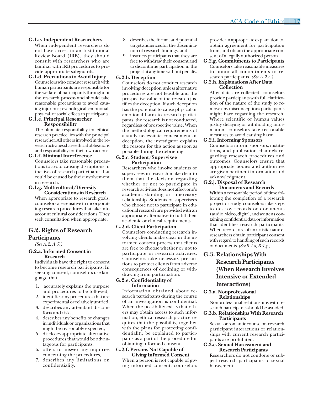#### **G.1.c. Independent Researchers**

When independent researchers do not have access to an Institutional Review Board (IRB), they should consult with researchers who are familiar with IRB procedures to provide appropriate safeguards.

#### **G.1.d. Precautions to Avoid Injury**

Counselors who conduct research with human participants are responsible for the welfare of participants throughout the research process and should take reasonable precautions to avoid causing injurious psychological, emotional, physical, or social effects to participants.

#### **G.1.e. Principal Researcher Responsibility**

The ultimate responsibility for ethical research practice lies with the principal researcher. All others involved in the research activities share ethical obligations and responsibility for their own actions.

#### **G.1.f. Minimal Interference**

Counselors take reasonable precautions to avoid causing disruptions in the lives of research participants that could be caused by their involvement in research.

## **G.1.g. Multicultural/Diversity**

**Considerations in Research** When appropriate to research goals, counselors are sensitive to incorporating research procedures that take into account cultural considerations. They seek consultation when appropriate.

## **G.2. Rights of Research**

## **Participants**

*(See A.2, A.7.)*

#### **G.2.a. Informed Consent in Research**

Individuals have the right to consent to become research participants. In seeking consent, counselors use language that

- 1. accurately explains the purpose and procedures to be followed,
- 2. identifies any procedures that are experimental or relatively untried,
- 3. describes any attendant discomforts and risks,
- 4. describes any benefits or changes in individuals or organizations that might be reasonably expected,
- 5. discloses appropriate alternative procedures that would be advantageous for participants,
- 6. offers to answer any inquiries concerning the procedures,
- 7. describes any limitations on confidentiality,
- 8. describes the format and potential target audiences for the dissemination of research findings, and
- 9. instructs participants that they are free to withdraw their consent and to discontinue participation in the project at any time without penalty.

#### **G.2.b. Deception**

Counselors do not conduct research involving deception unless alternative procedures are not feasible and the prospective value of the research justifies the deception. If such deception has the potential to cause physical or emotional harm to research participants, the research is not conducted, regardless of prospective value. When the methodological requirements of a study necessitate concealment or deception, the investigator explains the reasons for this action as soon as possible during the debriefing.

#### **G.2.c. Student/Supervisee Participation**

Researchers who involve students or supervisees in research make clear to them that the decision regarding whether or not to participate in research activities does not affect one's academic standing or supervisory relationship. Students or supervisees who choose not to participate in educational research are provided with an appropriate alternative to fulfill their academic or clinical requirements.

#### **G.2.d. Client Participation**

Counselors conducting research involving clients make clear in the informed consent process that clients are free to choose whether or not to participate in research activities. Counselors take necessary precautions to protect clients from adverse consequences of declining or withdrawing from participation.

#### **G.2.e. Confidentiality of Information**

Information obtained about research participants during the course of an investigation is confidential. When the possibility exists that others may obtain access to such information, ethical research practice requires that the possibility, together with the plans for protecting confidentiality, be explained to participants as a part of the procedure for obtaining informed consent.

#### **G.2.f. Persons Not Capable of Giving Informed Consent**

When a person is not capable of giving informed consent, counselors provide an appropriate explanation to, obtain agreement for participation from, and obtain the appropriate consent of a legally authorized person.

**G.2.g. Commitments to Participants** Counselors take reasonable measures to honor all commitments to research participants. *(See A.2.c.)*

#### **G.2.h. Explanations After Data Collection**

After data are collected, counselors provide participants with full clarification of the nature of the study to remove any misconceptions participants might have regarding the research. Where scientific or human values justify delaying or withholding information, counselors take reasonable measures to avoid causing harm.

#### **G.2.i. Informing Sponsors**

Counselors inform sponsors, institutions, and publication channels regarding research procedures and outcomes. Counselors ensure that appropriate bodies and authorities are given pertinent information and acknowledgment.

#### **G.2.j. Disposal of Research Documents and Records**

Within a reasonable period of time following the completion of a research project or study, counselors take steps to destroy records or documents (audio, video, digital, and written) containing confidential data or information that identifies research participants. When records are of an artistic nature, researchers obtain participant consent with regard to handling of such records or documents. *(See B.4.a, B.4.g.)*

## **G.3. Relationships With Research Participants (When Research Involves Intensive or Extended Interactions)**

## **G.3.a. Nonprofessional**

**Relationships** Nonprofessional relationships with re-

#### search participants should be avoided. **G.3.b. Relationships With Research Participants**

Sexual or romantic counselor–research participant interactions or relationships with current research participants are prohibited.

#### **G.3.c. Sexual Harassment and Research Participants**

Researchers do not condone or subject research participants to sexual harassment.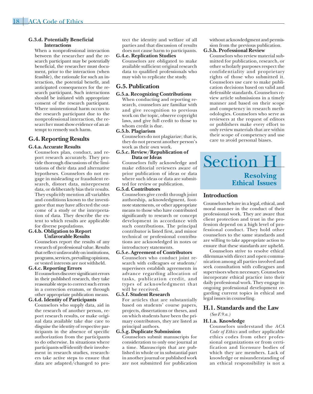#### **G.3.d. Potentially Beneficial Interactions**

When a nonprofessional interaction between the researcher and the research participant may be potentially beneficial, the researcher must document, prior to the interaction (when feasible), the rationale for such an interaction, the potential benefit, and anticipated consequences for the research participant. Such interactions should be initiated with appropriate consent of the research participant. Where unintentional harm occurs to the research participant due to the nonprofessional interaction, the researcher must show evidence of an attempt to remedy such harm.

## **G.4. Reporting Results**

#### **G.4.a. Accurate Results**

Counselors plan, conduct, and report research accurately. They provide thorough discussions of the limitations of their data and alternative hypotheses. Counselors do not engage in misleading or fraudulent research, distort data, misrepresent data, or deliberately bias their results. They explicitly mention all variables and conditions known to the investigator that may have affected the outcome of a study or the interpretation of data. They describe the extent to which results are applicable for diverse populations.

#### **G.4.b. Obligation to Report Unfavorable Results**

Counselors report the results of any research of professional value. Results that reflect unfavorably on institutions, programs, services, prevailing opinions, or vested interests are not withheld.

#### **G.4.c. Reporting Errors**

If counselors discover significant errors in their published research, they take reasonable steps to correct such errors in a correction erratum, or through other appropriate publication means.

#### **G.4.d. Identity of Participants**

Counselors who supply data, aid in the research of another person, report research results, or make original data available take due care to disguise the identity of respective participants in the absence of specific authorization from the participants to do otherwise. In situations where participants self-identify their involvement in research studies, researchers take active steps to ensure that data are adapted/changed to protect the identity and welfare of all parties and that discussion of results does not cause harm to participants.

**G.4.e. Replication Studies** Counselors are obligated to make available sufficient original research

data to qualified professionals who may wish to replicate the study.

#### **G.5. Publication**

#### **G.5.a. Recognizing Contributions**

When conducting and reporting research, counselors are familiar with and give recognition to previous work on the topic, observe copyright laws, and give full credit to those to whom credit is due.

#### **G.5.b. Plagiarism**

Counselors do not plagiarize; that is, they do not present another person's work as their own work.

#### **G.5.c. Review/Republication of Data or Ideas**

Counselors fully acknowledge and make editorial reviewers aware of prior publication of ideas or data where such ideas or data are submitted for review or publication.

#### **G.5.d. Contributors**

Counselors give credit through joint authorship, acknowledgment, footnote statements, or other appropriate means to those who have contributed significantly to research or concept development in accordance with such contributions. The principal contributor is listed first, and minor technical or professional contributions are acknowledged in notes or introductory statements.

**G.5.e. Agreement of Contributors** Counselors who conduct joint research with colleagues or students/ supervisees establish agreements in advance regarding allocation of tasks, publication credit, and types of acknowledgment that will be received.

#### **G.5.f. Student Research**

For articles that are substantially based on students' course papers, projects, dissertations or theses, and on which students have been the primary contributors, they are listed as principal authors.

#### **G.5.g. Duplicate Submission**

Counselors submit manuscripts for consideration to only one journal at a time. Manuscripts that are published in whole or in substantial part in another journal or published work are not submitted for publication

without acknowledgment and permission from the previous publication.

#### **G.5.h. Professional Review**

Counselors who review material submitted for publication, research, or other scholarly purposes respect the confidentiality and proprietary rights of those who submitted it. Counselors use care to make publication decisions based on valid and defensible standards. Counselors review article submissions in a timely manner and based on their scope and competency in research methodologies. Counselors who serve as reviewers at the request of editors or publishers make every effort to only review materials that are within their scope of competency and use care to avoid personal biases.



## **Introduction**

Counselors behave in a legal, ethical, and moral manner in the conduct of their professional work. They are aware that client protection and trust in the profession depend on a high level of professional conduct. They hold other counselors to the same standards and are willing to take appropriate action to ensure that these standards are upheld.

Counselors strive to resolve ethical dilemmas with direct and open communication among all parties involved and seek consultation with colleagues and supervisors when necessary. Counselors incorporate ethical practice into their daily professional work. They engage in ongoing professional development regarding current topics in ethical and legal issues in counseling.

**H.1. Standards and the Law** *(See F.9.a.)*

#### **H.1.a. Knowledge**

Counselors understand the *ACA Code of Ethics* and other applicable ethics codes from other professional organizations or from certification and licensure bodies of which they are members. Lack of knowledge or misunderstanding of an ethical responsibility is not a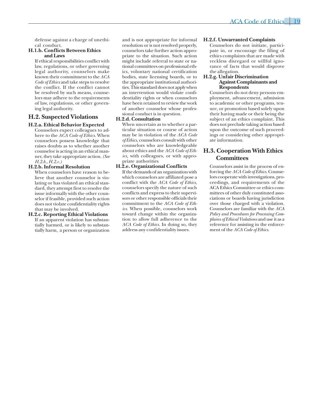defense against a charge of unethical conduct.

#### **H.1.b. Conflicts Between Ethics and Laws**

If ethical responsibilities conflict with law, regulations, or other governing legal authority, counselors make known their commitment to the *ACA Code of Ethics* and take steps to resolve the conflict. If the conflict cannot be resolved by such means, counselors may adhere to the requirements of law, regulations, or other governing legal authority.

#### **H.2. Suspected Violations**

#### **H.2.a. Ethical Behavior Expected**

Counselors expect colleagues to adhere to the *ACA Code of Ethics*. When counselors possess knowledge that raises doubts as to whether another counselor is acting in an ethical manner, they take appropriate action. *(See H.2.b., H.2.c.)*

#### **H.2.b. Informal Resolution**

When counselors have reason to believe that another counselor is violating or has violated an ethical standard, they attempt first to resolve the issue informally with the other counselor if feasible, provided such action does not violate confidentiality rights that may be involved.

#### **H.2.c. Reporting Ethical Violations** If an apparent violation has substan-

tially harmed, or is likely to substantially harm, a person or organization and is not appropriate for informal resolution or is not resolved properly, counselors take further action appropriate to the situation. Such action might include referral to state or national committees on professional ethics, voluntary national certification bodies, state licensing boards, or to the appropriate institutional authorities. This standard does not apply when an intervention would violate confidentiality rights or when counselors have been retained to review the work of another counselor whose professional conduct is in question.

#### **H.2.d. Consultation**

When uncertain as to whether a particular situation or course of action may be in violation of the *ACA Code of Ethics,* counselors consult with other counselors who are knowledgeable about ethics and the *ACA Code of Ethics,* with colleagues, or with appropriate authorities

#### **H.2.e. Organizational Conflicts**

If the demands of an organization with which counselors are affiliated pose a conflict with the *ACA Code of Ethics,* counselors specify the nature of such conflicts and express to their supervisors or other responsible officials their commitment to the *ACA Code of Ethics.* When possible, counselors work toward change within the organization to allow full adherence to the *ACA Code of Ethics.* In doing so, they address any confidentiality issues.

#### **H.2.f. Unwarranted Complaints**

Counselors do not initiate, participate in, or encourage the filing of ethics complaints that are made with reckless disregard or willful ignorance of facts that would disprove the allegation.

#### **H.2.g. Unfair Discrimination Against Complainants and Respondents**

Counselors do not deny persons employment, advancement, admission to academic or other programs, tenure, or promotion based solely upon their having made or their being the subject of an ethics complaint. This does not preclude taking action based upon the outcome of such proceedings or considering other appropriate information.

## **H.3. Cooperation With Ethics Committees**

Counselors assist in the process of enforcing the *ACA Code of Ethics*. Counselors cooperate with investigations, proceedings, and requirements of the ACA Ethics Committee or ethics committees of other duly constituted associations or boards having jurisdiction over those charged with a violation. Counselors are familiar with the *ACA Policy and Procedures for Processing Complains of Ethical Violations* and use it as a reference for assisting in the enforcement of the *ACA Code of Ethics*.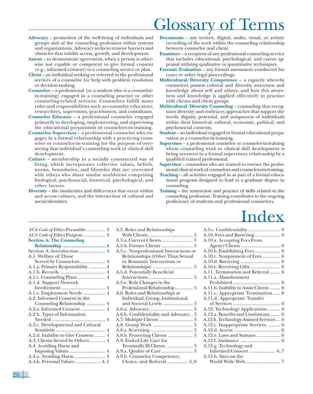# Hossary of Term

- **Advocacy –** promotion of the well-being of individuals and groups and of the counseling profession within systems and organizations. Advocacy seeks to remove barriers and obstacles that inhibit access, growth, and development.
- **Assent –** to demonstrate agreement, when a person is otherwise not capable or competent to give formal consent (e.g., informed consent) to a counseling service or plan.
- **Client –** an individual seeking or referred to the professional services of a counselor for help with problem resolution or decision making.
- **Counselor –** a professional (or a student who is a counselorin-training) engaged in a counseling practice or other counseling-related services. Counselors fulfill many roles and responsibilities such as counselor educators, researchers, supervisors, practitioners, and consultants.
- **Counselor Educator –** a professional counselor engaged primarily in developing, implementing, and supervising the educational preparation of counselors-in-training.
- **Counselor Supervisor –** a professional counselor who engages in a formal relationship with a practicing counselor or counselor-in-training for the purpose of overseeing that individual's counseling work or clinical skill development.
- **Culture –** membership in a socially constructed way of living, which incorporates collective values, beliefs, norms, boundaries, and lifestyles that are cocreated with others who share similar worldviews comprising biological, psychosocial, historical, psychological, and other factors.
- **Diversity –** the similarities and differences that occur within and across cultures, and the intersection of cultural and social identities.
- **Documents –** any written, digital, audio, visual, or artistic recording of the work within the counseling relationship between counselor and client.
- **Examinee –** a recipient of any professional counseling service that includes educational, psychological, and career appraisal utilizing qualitative or quantitative techniques.
- **Forensic Evaluation –** any formal assessment conducted for court or other legal proceedings.
- **Multicultural/Diversity Competence –** a capacity whereby counselors possess cultural and diversity awareness and knowledge about self and others, and how this awareness and knowledge is applied effectively in practice with clients and client groups.
- **Multicultural/Diversity Counseling –** counseling that recognizes diversity and embraces approaches that support the worth, dignity, potential, and uniqueness of individuals within their historical, cultural, economic, political, and psychosocial contexts.
- **Student –** an individual engaged in formal educational preparation as a counselor-in-training.
- **Supervisee –** a professional counselor or counselor-in-training whose counseling work or clinical skill development is being overseen in a formal supervisory relationship by a qualified trained professional.
- **Supervisor –** counselors who are trained to oversee the professional clinical work of counselors and counselors-in-training.
- **Teaching –** all activities engaged in as part of a formal educational program designed to lead to a graduate degree in counseling.
- **Training –** the instruction and practice of skills related to the counseling profession. Training contributes to the ongoing proficiency of students and professional counselors.

## Index

| ACA Code of Ethics Preamble  3      |  |
|-------------------------------------|--|
| ACA Code of Ethics Purpose  3       |  |
| <b>Section A: The Counseling</b>    |  |
|                                     |  |
| Section A: Introduction  4          |  |
| A.1. Welfare of Those               |  |
| Served by Counselors  4             |  |
| A.1.a. Primary Responsibility  4    |  |
|                                     |  |
|                                     |  |
| A.1.d. Support Network              |  |
|                                     |  |
| A.1.e. Employment Needs  4          |  |
| A.2. Informed Consent in the        |  |
| Counseling Relationship  4          |  |
|                                     |  |
| A.2.b. Types of Information         |  |
|                                     |  |
| A.2.c. Developmental and Cultural   |  |
|                                     |  |
| A.2.d. Inability to Give Consent  4 |  |
| A.3. Clients Served by Others  4    |  |
| A.4. Avoiding Harm and              |  |
|                                     |  |
| A.4.a. Avoiding Harm  4             |  |
|                                     |  |

| A.5. Roles and Relationships           |  |
|----------------------------------------|--|
|                                        |  |
|                                        |  |
|                                        |  |
| A.5.c. Nonprofessional Interactions or |  |
| Relationships (Other Than Sexual       |  |
| or Romantic Interactions or            |  |
|                                        |  |
| A.5.d. Potentially Beneficial          |  |
|                                        |  |
| A.5.e. Role Changes in the             |  |
| Professional Relationship 5            |  |
| A.6. Roles and Relationships at        |  |
| Individual, Group, Institutional,      |  |
|                                        |  |
|                                        |  |
| A.6.b. Confidentiality and Advocacy 5  |  |
|                                        |  |
|                                        |  |
|                                        |  |
| A.8.b. Protecting Clients  5           |  |
| A.9. End-of-Life Care for              |  |
| Terminally Ill Clients  5              |  |
|                                        |  |
| A.9.b. Counselor Competence,           |  |
|                                        |  |
|                                        |  |

| A.10. Fees and Bartering  6             |  |
|-----------------------------------------|--|
| A.10.a. Accepting Fees From             |  |
|                                         |  |
|                                         |  |
| A.10.c. Nonpayment of Fees  6           |  |
|                                         |  |
|                                         |  |
| A.11. Termination and Referral  6       |  |
| A.11.a. Abandonment                     |  |
|                                         |  |
| A.11.b. Inability to Assist Clients  6  |  |
| A.11.c. Appropriate Termination 6       |  |
|                                         |  |
| A.11.d. Appropriate Transfer            |  |
|                                         |  |
| A.12. Technology Applications  6        |  |
| A.12.a. Benefits and Limitations  6     |  |
| A.12.b. Technology-Assisted Services  6 |  |
| A.12.c. Inappropriate Services  6       |  |
|                                         |  |
|                                         |  |
|                                         |  |
| A.12.g. Technology and                  |  |
|                                         |  |
| A.12.h. Sites on the                    |  |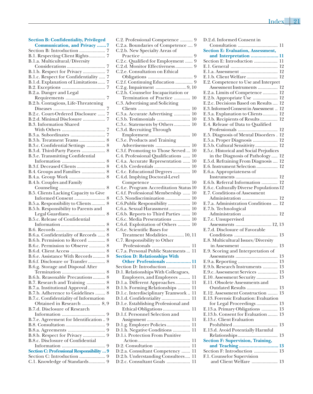| <b>Section B: Confidentiality, Privileged</b>                      |   |
|--------------------------------------------------------------------|---|
| Communication, and Privacy 7                                       |   |
|                                                                    |   |
| B.1. Respecting Client Rights 7                                    |   |
| B.1.a. Multicultural/Diversity                                     |   |
|                                                                    | 7 |
| B.1.b. Respect for Privacy                                         | 7 |
| B.1.c. Respect for Confidentiality                                 | 7 |
| B.1.d. Explanation of Limitations                                  | 7 |
|                                                                    | 7 |
| B.2.a. Danger and Legal                                            |   |
|                                                                    | 7 |
| B.2.b. Contagious, Life-Threatening                                |   |
|                                                                    | 7 |
| B.2.c. Court-Ordered Disclosure                                    | 7 |
| B.2.d. Minimal Disclosure                                          | 7 |
| B.3. Information Shared                                            |   |
|                                                                    | 7 |
|                                                                    | 7 |
| B.3.b. Treatment Teams                                             | 8 |
| B.3.c. Confidential Settings  8                                    |   |
| B.3.d. Third-Party Payers  8                                       |   |
| B.3.e. Transmitting Confidential                                   |   |
|                                                                    | 8 |
| B.3.f. Deceased Clients  8                                         |   |
| B.4. Groups and Families                                           | 8 |
|                                                                    | 8 |
| B.4.b. Couples and Family                                          |   |
|                                                                    | 8 |
| <b>B.5. Clients Lacking Capacity to Give</b>                       |   |
| Informed Consent                                                   | 8 |
| B.5.a. Responsibility to Clients                                   | 8 |
| B.5.b. Responsibility to Parents and                               |   |
| Legal Guardians                                                    | 8 |
| B.5.c. Release of Confidential                                     |   |
|                                                                    | 8 |
|                                                                    |   |
| B.6.a. Confidentiality of Records                                  | 8 |
| B.6.b. Permission to Record  8                                     |   |
| B.6.c. Permission to Observe  8                                    |   |
|                                                                    |   |
| B.6.e. Assistance With Records  8                                  |   |
| B.6.f. Disclosure or Transfer                                      | 8 |
| B.6.g. Storage and Disposal After                                  |   |
|                                                                    |   |
| B.6.h. Reasonable Precautions 8                                    |   |
| B.7. Research and Training  8                                      |   |
| B.7.a. Institutional Approval  8                                   |   |
| B.7.b. Adherence to Guidelines  8                                  |   |
| B.7.c. Confidentiality of Information                              |   |
| Obtained in Research  8,9                                          |   |
| B.7.d. Disclosure of Research                                      |   |
|                                                                    | 9 |
| B.7.e. Agreement for Identification  9                             |   |
|                                                                    |   |
|                                                                    |   |
|                                                                    |   |
| B.8.b. Respect for Privacy  9<br>B.8.c. Disclosure of Confidential |   |
|                                                                    |   |
| <b>Section C: Professional Responsibility  9</b>                   |   |
|                                                                    |   |
|                                                                    |   |
| C.1. Knowledge of Standards 9                                      |   |

| C.2. Professional Competence  9                                  |
|------------------------------------------------------------------|
| C.2.a. Boundaries of Competence  9                               |
| C.2.b. New Specialty Areas of                                    |
|                                                                  |
| C.2.c. Qualified for Employment  9                               |
| C.2.d. Monitor Effectiveness 9                                   |
| C.2.e. Consultation on Ethical                                   |
|                                                                  |
| C.2.f. Continuing Education  9                                   |
|                                                                  |
| C.2.h. Counselor Incapacitation or                               |
| Termination of Practice<br>10                                    |
| C.3. Advertising and Soliciting                                  |
| 10                                                               |
| C.3.a. Accurate Advertising<br>10                                |
| 10                                                               |
| C.3.c. Statements by Others<br>10                                |
| C.3.d. Recruiting Through                                        |
| 10                                                               |
| C.3.e. Products and Training                                     |
| Advertisements<br>10                                             |
| C.3.f. Promoting to Those Served<br>10                           |
| C.4. Professional Qualifications<br>10                           |
| C.4.a. Accurate Representation<br>10                             |
| 10                                                               |
| C.4.c. Educational Degrees<br>10                                 |
| C.4.d. Implying Doctoral-Level                                   |
| 10                                                               |
| C.4.e. Program Accreditation Status 10                           |
| C.4.f. Professional Membership<br>10                             |
| C.5. Nondiscrimination<br>10                                     |
| C.6. Public Responsibility<br>10                                 |
| C.6.a. Sexual Harassment<br>10                                   |
| C.6.b. Reports to Third Parties<br>10                            |
| C.6.c. Media Presentations<br>10                                 |
| C.6.d. Exploitation of Others<br>10                              |
| C.6.e. Scientific Bases for                                      |
| Treatment Modalities 10, 11                                      |
| C.7. Responsibility to Other                                     |
|                                                                  |
| C.7.a. Personal Public Statements  11                            |
| <b>Section D: Relationships With</b>                             |
| Other Professionals  11                                          |
| Section D: Introduction 11                                       |
| D.1. Relationships With Colleagues,                              |
| Employers, and Employees<br>11                                   |
| 11<br>D.1.a. Different Approaches                                |
| D.1.b. Forming Relationships<br>11                               |
| D.1.c. Interdisciplinary Teamwork<br>11                          |
| 11<br>D.1.d. Confidentiality                                     |
| D.1.e. Establishing Professional and                             |
|                                                                  |
| 11                                                               |
| Ethical Obligations<br>D.1.f. Personnel Selection and            |
| 11                                                               |
| 11                                                               |
| D.1.g. Employer Policies<br>11                                   |
| D.1.h. Negative Conditions<br>D.1.i. Protection From Punitive    |
| 11                                                               |
| 11                                                               |
| 11                                                               |
| D.2.a. Consultant Competency<br>11                               |
| D.2.b. Understanding Consultees<br>D.2.c. Consultant Goals<br>11 |

| D.2.d. Informed Consent in                |    |
|-------------------------------------------|----|
|                                           |    |
| <b>Section E: Evaluation, Assessment,</b> |    |
| and Interpretation  11                    |    |
| Section E: Introduction  11               |    |
|                                           |    |
|                                           |    |
|                                           | 12 |
| E.2. Competence to Use and Interpret      |    |
| Assessment Instruments                    | 12 |
| E.2.a. Limits of Competence               | 12 |
| E.2.b. Appropriate Use                    | 12 |
| E.2.c. Decisions Based on Results         | 12 |
| E.3. Informed Consent in Assessment       | 12 |
| E.3.a. Explanation to Clients             | 12 |
| E.3.b. Recipients of Results              | 12 |
| E.4. Release of Data to Qualified         |    |
|                                           | 12 |
| E.5. Diagnosis of Mental Disorders.       | 12 |
| E.5.a. Proper Diagnosis                   | 12 |
| E.5.b. Cultural Sensitivity               | 12 |
| E.5.c. Historical and Social Prejudices   |    |
| in the Diagnosis of Pathology             | 12 |
| E.5.d. Refraining From Diagnosis          | 12 |
| E.6. Instrument Selection                 | 12 |
| E.6.a. Appropriateness of                 |    |
|                                           |    |
| E.6.b. Referral Information  12           |    |
| E.6.c. Culturally Diverse Populations 12  |    |
| E.7. Conditions of Assessment             |    |
|                                           |    |
| E.7.a. Administration Conditions  12      |    |
| E.7.b. Technological                      |    |
| Administration  12                        |    |
| E.7.c. Unsupervised                       |    |
| Assessments  12, 13                       |    |
| E.7.d. Disclosure of Favorable            |    |
|                                           | 13 |
| E.8. Multicultural Issues/Diversity       |    |
|                                           | 13 |
| E.9. Scoring and Interpretation of        |    |
|                                           | 13 |
|                                           |    |
| E.9.b. Research Instruments  13           |    |
| E.9.c. Assessment Services                | 13 |
| E.10. Assessment Security  13             |    |
| E.11. Obsolete Assessments and            |    |
| Outdated Results                          | 13 |
| E.12. Assessment Construction             | 13 |
| E.13. Forensic Evaluation: Evaluation     |    |
| for Legal Proceedings                     | 13 |
| E.13.a. Primary Obligations               | 13 |
| E.13.b. Consent for Evaluation            | 13 |
| E.13.c. Client Evaluation                 |    |
|                                           | 13 |
| E.13.d. Avoid Potentially Harmful         |    |
|                                           | 13 |
| Section F: Supervision, Training,         |    |
| and Teaching  13                          |    |
| Section F: Introduction  13               |    |
| F.1. Counselor Supervision                |    |
| and Client Welfare  13                    |    |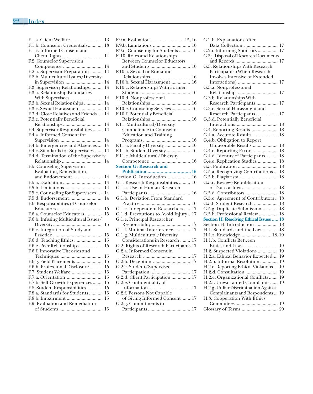| F.1.a. Client Welfare<br>13              |
|------------------------------------------|
| F.1.b. Counselor Credentials<br>13       |
| F.1.c. Informed Consent and              |
| 14                                       |
|                                          |
| F.2. Counselor Supervision               |
| 14                                       |
| F.2.a. Supervisor Preparation<br>14      |
| F.2.b. Multicultural Issues/Diversity    |
| 14                                       |
| F.3. Supervisory Relationships<br>14     |
| F.3.a. Relationship Boundaries           |
| With Supervisees<br>14                   |
| F.3.b. Sexual Relationships<br>14        |
| F.3.c. Sexual Harassment<br>14           |
| F.3.d. Close Relatives and Friends<br>14 |
| F.3.e. Potentially Beneficial            |
| 14                                       |
| F.4. Supervisor Responsibilities<br>14   |
|                                          |
| F.4.a. Informed Consent for              |
| 14                                       |
| F.4.b. Emergencies and Absences<br>14    |
| F.4.c. Standards for Supervisees<br>14   |
| F.4.d. Termination of the Supervisory    |
| 14                                       |
| F.5. Counseling Supervision              |
| Evaluation, Remediation,                 |
| and Endorsement<br>14                    |
| F.5.a. Evaluation<br>14                  |
| F.5.b. Limitations<br>14                 |
| F.5.c. Counseling for Supervisees<br>14  |
| 14                                       |
|                                          |
| F.6. Responsibilities of Counselor       |
| 15                                       |
| F.6.a. Counselor Educators<br>15         |
| F.6.b. Infusing Multicultural Issues/    |
| 15                                       |
| F.6.c. Integration of Study and          |
| 15                                       |
| F.6.d. Teaching Ethics<br>15             |
| F.6.e. Peer Relationships<br>15          |
| F.6.f. Innovative Theories and           |
| 15                                       |
| F.6.g. Field Placements<br>15            |
| F.6.h. Professional Disclosure<br>15     |
| F.7. Student Welfare<br>15               |
|                                          |
| F.7.a. Orientation<br>15                 |
| F.7.b. Self-Growth Experiences<br>15     |
| F.8. Student Responsibilities<br>15      |
|                                          |
| F.8.a. Standards for Students<br>15      |
| 15                                       |
| F.9. Evaluation and Remediation          |

| F.9.a. Evaluation  15, 16               | G.2.h. Explanations After                      |
|-----------------------------------------|------------------------------------------------|
|                                         | Data Collection  17                            |
| F.9.c. Counseling for Students  16      | G.2.i. Informing Sponsors  17                  |
| F. 10. Roles and Relationships          | G.2.j. Disposal of Research Documents          |
| <b>Between Counselor Educators</b>      |                                                |
|                                         | G.3. Relationships With Research               |
| F.10.a. Sexual or Romantic              | Participants (When Research                    |
|                                         | Involves Intensive or Extended                 |
| F.10.b. Sexual Harassment  16           |                                                |
| F.10.c. Relationships With Former       | G.3.a. Nonprofessional                         |
|                                         |                                                |
| F.10.d. Nonprofessional                 | G.3.b. Relationships With                      |
|                                         | Research Participants  17                      |
| F.10.e. Counseling Services 16          | G.3.c. Sexual Harassment and                   |
| F.10.f. Potentially Beneficial          | Research Participants  17                      |
|                                         | G.3.d. Potentially Beneficial                  |
| F.11. Multicultural/Diversity           |                                                |
|                                         |                                                |
| Competence in Counselor                 |                                                |
| <b>Education and Training</b>           |                                                |
|                                         | G.4.b. Obligation to Report                    |
| F.11.a. Faculty Diversity  16           | Unfavorable Results  18                        |
|                                         | G.4.c. Reporting Errors  18                    |
| F.11.c. Multicultural/Diversity         | G.4.d. Identity of Participants  18            |
|                                         | G.4.e. Replication Studies  18                 |
| <b>Section G: Research and</b>          |                                                |
|                                         | G.5.a. Recognizing Contributions  18           |
| Section G: Introduction 16              |                                                |
| G.1. Research Responsibilities  16      | G.5.c. Review/Republication                    |
| G.1.a. Use of Human Research            | of Data or Ideas  18                           |
|                                         |                                                |
| G.1.b. Deviation From Standard          | G.5.e. Agreement of Contributors  18           |
|                                         | G.5.f. Student Research  18                    |
| G.1.c. Independent Researchers 17       | G.5.g. Duplicate Submission  18                |
| G.1.d. Precautions to Avoid Injury 17   | G.5.h. Professional Review  18                 |
| G.1.e. Principal Researcher             | <b>Section H: Resolving Ethical Issues  18</b> |
|                                         | Section H: Introduction  18                    |
| G.1.f. Minimal Interference  17         | H.1. Standards and the Law  18                 |
| G.1.g. Multicultural/Diversity          | H.1.a. Knowledge  18, 19                       |
| Considerations in Research  17          | H.1.b. Conflicts Between                       |
| G.2. Rights of Research Participants 17 | Ethics and Laws  19                            |
| G.2.a. Informed Consent in              | H.2. Suspected Violations  19                  |
|                                         | H.2.a. Ethical Behavior Expected  19           |
|                                         | H.2.b. Informal Resolution  19                 |
|                                         |                                                |
| G.2.c. Student/Supervisee               | H.2.c. Reporting Ethical Violations  19        |
|                                         | H.2.d. Consultation  19                        |
| G.2.d. Client Participation  17         | H.2.e. Organizational Conflicts 19             |
| G.2.e. Confidentiality of               | H.2.f. Unwarranted Complaints 19               |
|                                         | H.2.g. Unfair Discrimination Against           |
| G.2.f. Persons Not Capable              | Complainants and Respondents 19                |
| of Giving Informed Consent 17           | H.3. Cooperation With Ethics                   |
| G.2.g. Commitments to                   |                                                |
|                                         |                                                |

| G.2.h. Explanations After                      |    |
|------------------------------------------------|----|
|                                                |    |
| G.2.i. Informing Sponsors                      | 17 |
| G.2.j. Disposal of Research Documents          |    |
|                                                | 17 |
| G.3. Relationships With Research               |    |
| Participants (When Research                    |    |
| Involves Intensive or Extended                 |    |
|                                                | 17 |
| G.3.a. Nonprofessional                         |    |
|                                                | 17 |
|                                                |    |
| G.3.b. Relationships With                      | 17 |
| Research Participants                          |    |
| G.3.c. Sexual Harassment and                   |    |
| Research Participants                          | 17 |
| G.3.d. Potentially Beneficial                  |    |
|                                                | 18 |
| G.4. Reporting Results                         | 18 |
| G.4.a. Accurate Results                        | 18 |
| G.4.b. Obligation to Report                    |    |
| Unfavorable Results                            | 18 |
| G.4.c. Reporting Errors                        | 18 |
| G.4.d. Identity of Participants                | 18 |
| G.4.e. Replication Studies                     | 18 |
|                                                | 18 |
| G.5.a. Recognizing Contributions               | 18 |
|                                                | 18 |
| G.5.c. Review/Republication                    |    |
| of Data or Ideas                               | 18 |
|                                                | 18 |
| G.5.e. Agreement of Contributors               | 18 |
| G.5.f. Student Research                        | 18 |
| G.5.g. Duplicate Submission                    | 18 |
| G.5.h. Professional Review                     | 18 |
| <b>Section H: Resolving Ethical Issues  18</b> |    |
| Section H: Introduction                        | 18 |
| H.1. Standards and the Law                     | 18 |
| H.1.a. Knowledge  18,                          | 19 |
| H.1.b. Conflicts Between                       |    |
| Ethics and Laws                                | 19 |
| H.2. Suspected Violations                      | 19 |
| H.2.a. Ethical Behavior Expected               | 19 |
| H.2.b. Informal Resolution                     | 19 |
| H.2.c. Reporting Ethical Violations            | 19 |
|                                                | 19 |
| H.2.e. Organizational Conflicts                | 19 |
| H.2.f. Unwarranted Complaints                  | 19 |
| H.2.g. Unfair Discrimination Against           |    |
| Complainants and Respondents                   | 19 |
| H.3. Cooperation With Ethics                   |    |
|                                                | 19 |
|                                                |    |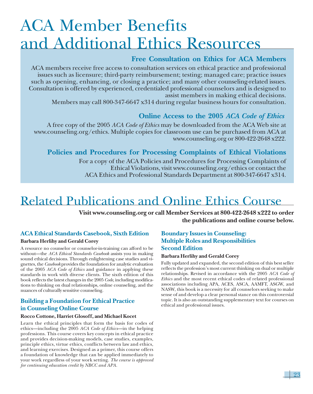# ACA Member Benefits and Additional Ethics Resources

## **Free Consultation on Ethics for ACA Members**

ACA members receive free access to consultation services on ethical practice and professional issues such as licensure; third-party reimbursement; testing; managed care; practice issues such as opening, enhancing, or closing a practice; and many other counseling-related issues. Consultation is offered by experienced, credentialed professional counselors and is designed to assist members in making ethical decisions.

Members may call 800-347-6647 x314 during regular business hours for consultation.

## **Online Access to the 2005** *ACA Code of Ethics*

A free copy of the 2005 *ACA Code of Ethics* may be downloaded from the ACA Web site at www.counseling.org/ethics. Multiple copies for classroom use can be purchased from ACA at www.counseling.org or 800-422-2648 x222.

## **Policies and Procedures for Processing Complaints of Ethical Violations**

For a copy of the ACA Policies and Procedures for Processing Complaints of Ethical Violations, visit www.counseling.org/ethics or contact the ACA Ethics and Professional Standards Department at 800-347-6647 x314.

## Related Publications and Online Ethics Course

**Visit www.counseling.org or call Member Services at 800-422-2648 x222 to order the publications and online course below.**

## **ACA Ethical Standards Casebook, Sixth Edition**

## **Barbara Herlihy and Gerald Corey**

A resource no counselor or counselor-in-training can afford to be without—the *ACA Ethical Standards Casebook* assists you in making sound ethical decisions. Through enlightening case studies and vignettes, the *Casebook* provides the foundation for analytic evaluation of the 2005 *ACA Code of Ethics* and guidance in applying these standards in work with diverse clients. The sixth edition of this book reflects the latest changes in the 2005 *Code,* including modifications to thinking on dual relationships, online counseling, and the nuances of culturally sensitive counseling.

## **Building a Foundation for Ethical Practice in Counseling Online Course**

#### **Rocco Cottone, Harriet Glosoff, and Michael Kocet**

Learn the ethical principles that form the basis for codes of ethics—including the 2005 *ACA Code of Ethics*—in the helping professions. This course covers key concepts in ethical practice and provides decision-making models, case studies, examples, principle ethics, virtue ethics, conflicts between law and ethics, and learning exercises. Designed as a primer, this course offers a foundation of knowledge that can be applied immediately to your work regardless of your work setting. *The course is approved for continuing education credit by NBCC and APA.*

## **Boundary Issues in Counseling: Multiple Roles and Responsibilities Second Edition**

#### **Barbara Herlihy and Gerald Corey**

Fully updated and expanded, the second edition of this best seller reflects the profession's most current thinking on dual or multiple relationships. Revised in accordance with the 2005 *ACA Code of Ethics* and the most recent ethical codes of related professional associations including APA, ACES, ASCA, AAMFT, ASGW, and NASW, this book is a necessity for all counselors seeking to make sense of and develop a clear personal stance on this controversial topic. It is also an outstanding supplementary text for courses on ethical and professional issues.